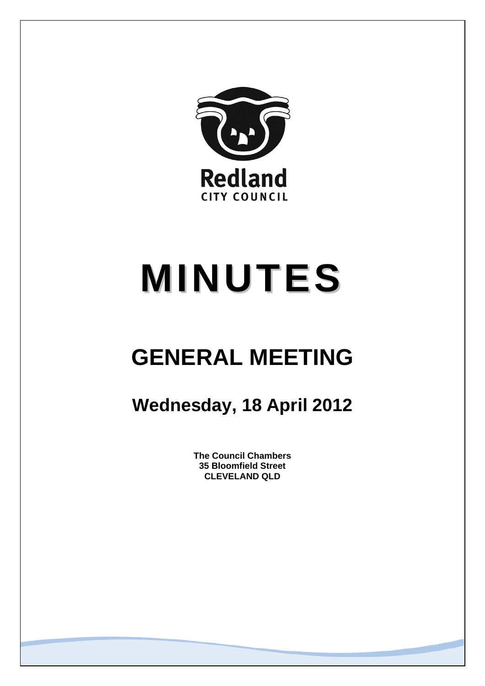

# **MINUTES**

## **GENERAL MEETING**

### **Wednesday, 18 April 2012**

**The Council Chambers 35 Bloomfield Street CLEVELAND QLD**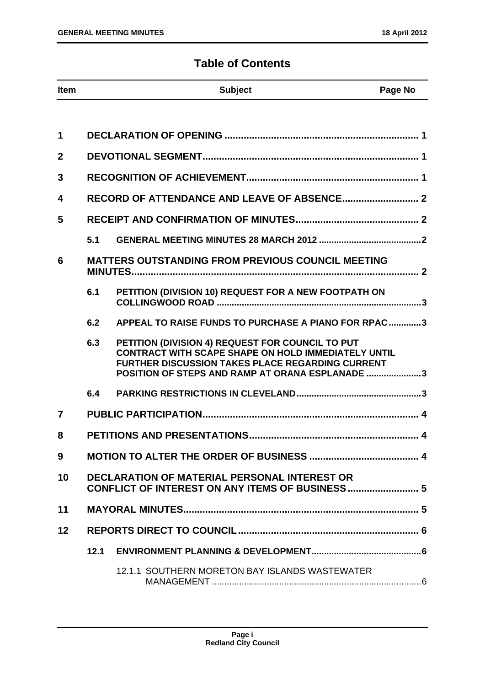#### **Table of Contents**

| <b>Item</b>    |                                                                                                        | <b>Subject</b>                                                                                                                                                                                                               | Page No |
|----------------|--------------------------------------------------------------------------------------------------------|------------------------------------------------------------------------------------------------------------------------------------------------------------------------------------------------------------------------------|---------|
|                |                                                                                                        |                                                                                                                                                                                                                              |         |
| 1              |                                                                                                        |                                                                                                                                                                                                                              |         |
| $\overline{2}$ |                                                                                                        |                                                                                                                                                                                                                              |         |
| 3              |                                                                                                        |                                                                                                                                                                                                                              |         |
| 4              |                                                                                                        |                                                                                                                                                                                                                              |         |
| 5              |                                                                                                        |                                                                                                                                                                                                                              |         |
|                | 5.1                                                                                                    |                                                                                                                                                                                                                              |         |
| 6              |                                                                                                        | <b>MATTERS OUTSTANDING FROM PREVIOUS COUNCIL MEETING</b>                                                                                                                                                                     |         |
|                | 6.1                                                                                                    | PETITION (DIVISION 10) REQUEST FOR A NEW FOOTPATH ON                                                                                                                                                                         |         |
|                | 6.2                                                                                                    | APPEAL TO RAISE FUNDS TO PURCHASE A PIANO FOR RPAC3                                                                                                                                                                          |         |
|                | 6.3                                                                                                    | PETITION (DIVISION 4) REQUEST FOR COUNCIL TO PUT<br><b>CONTRACT WITH SCAPE SHAPE ON HOLD IMMEDIATELY UNTIL</b><br><b>FURTHER DISCUSSION TAKES PLACE REGARDING CURRENT</b><br>POSITION OF STEPS AND RAMP AT ORANA ESPLANADE 3 |         |
|                | 6.4                                                                                                    |                                                                                                                                                                                                                              |         |
| 7              |                                                                                                        |                                                                                                                                                                                                                              |         |
| 8              |                                                                                                        |                                                                                                                                                                                                                              |         |
| 9              |                                                                                                        |                                                                                                                                                                                                                              |         |
| 10             | <b>DECLARATION OF MATERIAL PERSONAL INTEREST OR</b><br>CONFLICT OF INTEREST ON ANY ITEMS OF BUSINESS 5 |                                                                                                                                                                                                                              |         |
| 11             |                                                                                                        |                                                                                                                                                                                                                              |         |
| 12             |                                                                                                        |                                                                                                                                                                                                                              |         |
|                | 12.1                                                                                                   |                                                                                                                                                                                                                              |         |
|                |                                                                                                        | 12.1.1 SOUTHERN MORETON BAY ISLANDS WASTEWATER                                                                                                                                                                               |         |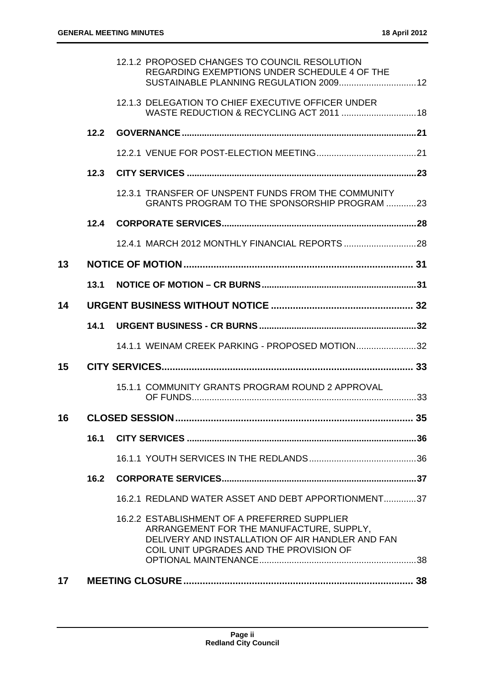| 17 |      |                                                                                                                                                                                         |    |
|----|------|-----------------------------------------------------------------------------------------------------------------------------------------------------------------------------------------|----|
|    |      | 16.2.2 ESTABLISHMENT OF A PREFERRED SUPPLIER<br>ARRANGEMENT FOR THE MANUFACTURE, SUPPLY,<br>DELIVERY AND INSTALLATION OF AIR HANDLER AND FAN<br>COIL UNIT UPGRADES AND THE PROVISION OF |    |
|    |      | 16.2.1 REDLAND WATER ASSET AND DEBT APPORTIONMENT37                                                                                                                                     |    |
|    | 16.2 |                                                                                                                                                                                         |    |
|    |      |                                                                                                                                                                                         |    |
|    | 16.1 |                                                                                                                                                                                         |    |
| 16 |      |                                                                                                                                                                                         | 35 |
|    |      | 15.1.1 COMMUNITY GRANTS PROGRAM ROUND 2 APPROVAL                                                                                                                                        |    |
| 15 |      |                                                                                                                                                                                         |    |
|    |      | 14.1.1 WEINAM CREEK PARKING - PROPOSED MOTION32                                                                                                                                         |    |
|    | 14.1 |                                                                                                                                                                                         |    |
| 14 |      |                                                                                                                                                                                         |    |
|    | 13.1 |                                                                                                                                                                                         |    |
| 13 |      |                                                                                                                                                                                         |    |
|    |      |                                                                                                                                                                                         |    |
|    | 12.4 |                                                                                                                                                                                         |    |
|    |      | 12.3.1 TRANSFER OF UNSPENT FUNDS FROM THE COMMUNITY<br>GRANTS PROGRAM TO THE SPONSORSHIP PROGRAM 23                                                                                     |    |
|    | 12.3 |                                                                                                                                                                                         |    |
|    |      |                                                                                                                                                                                         |    |
|    | 12.2 |                                                                                                                                                                                         |    |
|    |      | 12.1.3 DELEGATION TO CHIEF EXECUTIVE OFFICER UNDER<br>WASTE REDUCTION & RECYCLING ACT 2011  18                                                                                          |    |
|    |      | 12.1.2 PROPOSED CHANGES TO COUNCIL RESOLUTION<br>REGARDING EXEMPTIONS UNDER SCHEDULE 4 OF THE<br>SUSTAINABLE PLANNING REGULATION 2009 12                                                |    |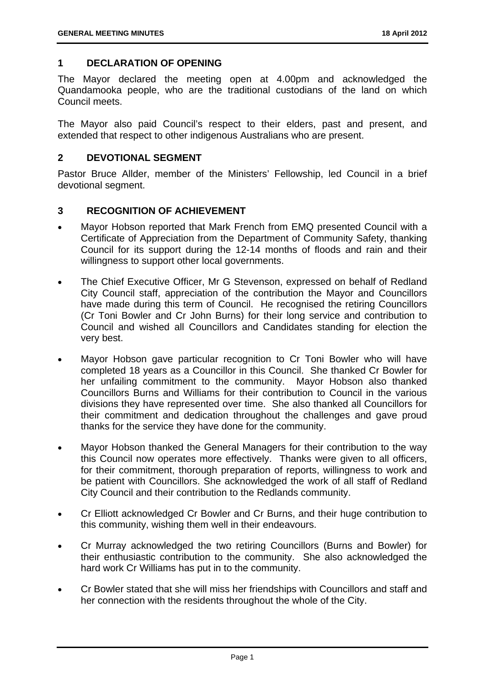#### **1 DECLARATION OF OPENING**

The Mayor declared the meeting open at 4.00pm and acknowledged the Quandamooka people, who are the traditional custodians of the land on which Council meets.

The Mayor also paid Council's respect to their elders, past and present, and extended that respect to other indigenous Australians who are present.

#### **2 DEVOTIONAL SEGMENT**

Pastor Bruce Allder, member of the Ministers' Fellowship, led Council in a brief devotional segment.

#### **3 RECOGNITION OF ACHIEVEMENT**

- Mayor Hobson reported that Mark French from EMQ presented Council with a Certificate of Appreciation from the Department of Community Safety, thanking Council for its support during the 12-14 months of floods and rain and their willingness to support other local governments.
- The Chief Executive Officer, Mr G Stevenson, expressed on behalf of Redland City Council staff, appreciation of the contribution the Mayor and Councillors have made during this term of Council. He recognised the retiring Councillors (Cr Toni Bowler and Cr John Burns) for their long service and contribution to Council and wished all Councillors and Candidates standing for election the very best.
- Mayor Hobson gave particular recognition to Cr Toni Bowler who will have completed 18 years as a Councillor in this Council. She thanked Cr Bowler for her unfailing commitment to the community. Mayor Hobson also thanked Councillors Burns and Williams for their contribution to Council in the various divisions they have represented over time. She also thanked all Councillors for their commitment and dedication throughout the challenges and gave proud thanks for the service they have done for the community.
- Mayor Hobson thanked the General Managers for their contribution to the way this Council now operates more effectively. Thanks were given to all officers, for their commitment, thorough preparation of reports, willingness to work and be patient with Councillors. She acknowledged the work of all staff of Redland City Council and their contribution to the Redlands community.
- Cr Elliott acknowledged Cr Bowler and Cr Burns, and their huge contribution to this community, wishing them well in their endeavours.
- Cr Murray acknowledged the two retiring Councillors (Burns and Bowler) for their enthusiastic contribution to the community. She also acknowledged the hard work Cr Williams has put in to the community.
- Cr Bowler stated that she will miss her friendships with Councillors and staff and her connection with the residents throughout the whole of the City.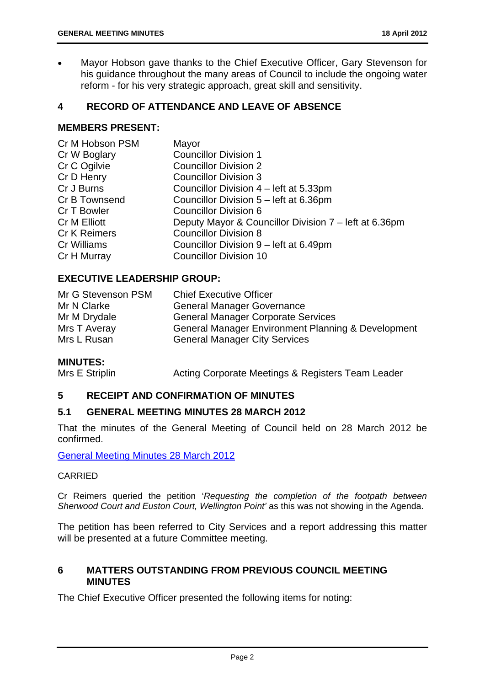Mayor Hobson gave thanks to the Chief Executive Officer, Gary Stevenson for his guidance throughout the many areas of Council to include the ongoing water reform - for his very strategic approach, great skill and sensitivity.

#### **4 RECORD OF ATTENDANCE AND LEAVE OF ABSENCE**

#### **MEMBERS PRESENT:**

| Cr M Hobson PSM     | Mayor                                                 |
|---------------------|-------------------------------------------------------|
| Cr W Boglary        | <b>Councillor Division 1</b>                          |
| Cr C Ogilvie        | <b>Councillor Division 2</b>                          |
| Cr D Henry          | <b>Councillor Division 3</b>                          |
| Cr J Burns          | Councillor Division 4 – left at 5.33pm                |
| Cr B Townsend       | Councillor Division 5 – left at 6.36pm                |
| Cr T Bowler         | <b>Councillor Division 6</b>                          |
| <b>Cr M Elliott</b> | Deputy Mayor & Councillor Division 7 – left at 6.36pm |
| <b>Cr K Reimers</b> | <b>Councillor Division 8</b>                          |
| Cr Williams         | Councillor Division 9 – left at 6.49pm                |
| Cr H Murray         | <b>Councillor Division 10</b>                         |
|                     |                                                       |

#### **EXECUTIVE LEADERSHIP GROUP:**

| Mr G Stevenson PSM | <b>Chief Executive Officer</b>                                |
|--------------------|---------------------------------------------------------------|
| Mr N Clarke        | <b>General Manager Governance</b>                             |
| Mr M Drydale       | <b>General Manager Corporate Services</b>                     |
| Mrs T Averay       | <b>General Manager Environment Planning &amp; Development</b> |
| Mrs L Rusan        | <b>General Manager City Services</b>                          |

#### **MINUTES:**

Mrs E Striplin Acting Corporate Meetings & Registers Team Leader

#### **5 RECEIPT AND CONFIRMATION OF MINUTES**

#### **5.1 GENERAL MEETING MINUTES 28 MARCH 2012**

That the minutes of the General Meeting of Council held on 28 March 2012 be confirmed.

General Meeting Minutes 28 March 2012

#### CARRIED

Cr Reimers queried the petition '*Requesting the completion of the footpath between Sherwood Court and Euston Court, Wellington Point'* as this was not showing in the Agenda.

The petition has been referred to City Services and a report addressing this matter will be presented at a future Committee meeting.

#### **6 MATTERS OUTSTANDING FROM PREVIOUS COUNCIL MEETING MINUTES**

The Chief Executive Officer presented the following items for noting: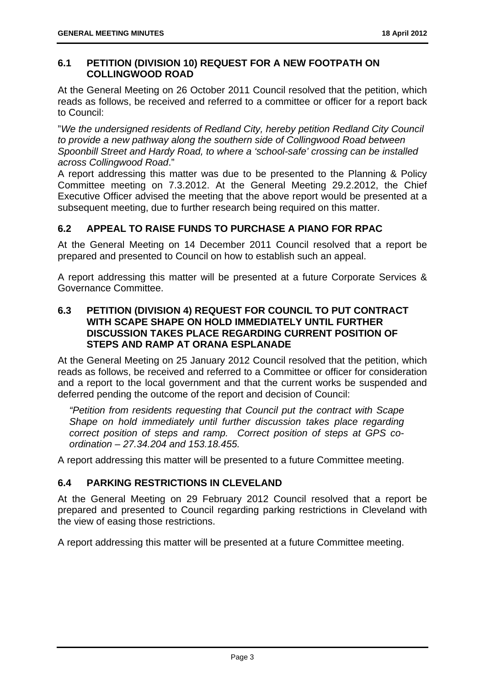#### **6.1 PETITION (DIVISION 10) REQUEST FOR A NEW FOOTPATH ON COLLINGWOOD ROAD**

At the General Meeting on 26 October 2011 Council resolved that the petition, which reads as follows, be received and referred to a committee or officer for a report back to Council:

"*We the undersigned residents of Redland City, hereby petition Redland City Council to provide a new pathway along the southern side of Collingwood Road between Spoonbill Street and Hardy Road, to where a 'school-safe' crossing can be installed across Collingwood Road*."

A report addressing this matter was due to be presented to the Planning & Policy Committee meeting on 7.3.2012. At the General Meeting 29.2.2012, the Chief Executive Officer advised the meeting that the above report would be presented at a subsequent meeting, due to further research being required on this matter.

#### **6.2 APPEAL TO RAISE FUNDS TO PURCHASE A PIANO FOR RPAC**

At the General Meeting on 14 December 2011 Council resolved that a report be prepared and presented to Council on how to establish such an appeal.

A report addressing this matter will be presented at a future Corporate Services & Governance Committee.

#### **6.3 PETITION (DIVISION 4) REQUEST FOR COUNCIL TO PUT CONTRACT WITH SCAPE SHAPE ON HOLD IMMEDIATELY UNTIL FURTHER DISCUSSION TAKES PLACE REGARDING CURRENT POSITION OF STEPS AND RAMP AT ORANA ESPLANADE**

At the General Meeting on 25 January 2012 Council resolved that the petition, which reads as follows, be received and referred to a Committee or officer for consideration and a report to the local government and that the current works be suspended and deferred pending the outcome of the report and decision of Council:

*"Petition from residents requesting that Council put the contract with Scape Shape on hold immediately until further discussion takes place regarding correct position of steps and ramp. Correct position of steps at GPS coordination – 27.34.204 and 153.18.455.* 

A report addressing this matter will be presented to a future Committee meeting.

#### **6.4 PARKING RESTRICTIONS IN CLEVELAND**

At the General Meeting on 29 February 2012 Council resolved that a report be prepared and presented to Council regarding parking restrictions in Cleveland with the view of easing those restrictions.

A report addressing this matter will be presented at a future Committee meeting.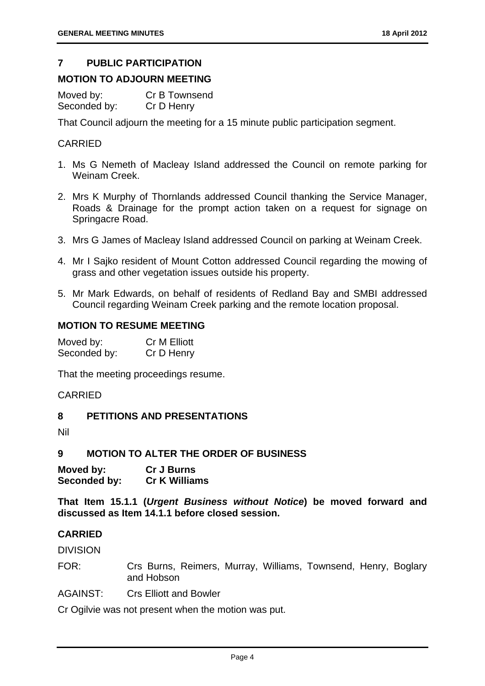#### **7 PUBLIC PARTICIPATION**

#### **MOTION TO ADJOURN MEETING**

Moved by: Cr B Townsend Seconded by: Cr D Henry

That Council adjourn the meeting for a 15 minute public participation segment.

#### **CARRIED**

- 1. Ms G Nemeth of Macleay Island addressed the Council on remote parking for Weinam Creek.
- 2. Mrs K Murphy of Thornlands addressed Council thanking the Service Manager, Roads & Drainage for the prompt action taken on a request for signage on Springacre Road.
- 3. Mrs G James of Macleay Island addressed Council on parking at Weinam Creek.
- 4. Mr I Sajko resident of Mount Cotton addressed Council regarding the mowing of grass and other vegetation issues outside his property.
- 5. Mr Mark Edwards, on behalf of residents of Redland Bay and SMBI addressed Council regarding Weinam Creek parking and the remote location proposal.

#### **MOTION TO RESUME MEETING**

| Moved by:    | <b>Cr M Elliott</b> |
|--------------|---------------------|
| Seconded by: | Cr D Henry          |

That the meeting proceedings resume.

#### CARRIED

**8 PETITIONS AND PRESENTATIONS** 

Nil

#### **9 MOTION TO ALTER THE ORDER OF BUSINESS**

**Moved by: Cr J Burns Seconded by: Cr K Williams** 

**That Item 15.1.1 (***Urgent Business without Notice***) be moved forward and discussed as Item 14.1.1 before closed session.** 

#### **CARRIED**

DIVISION

FOR: Crs Burns, Reimers, Murray, Williams, Townsend, Henry, Boglary and Hobson

AGAINST: Crs Elliott and Bowler

Cr Ogilvie was not present when the motion was put.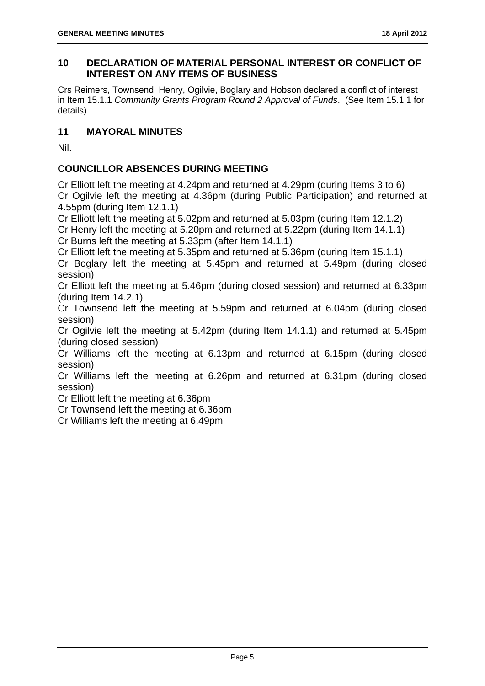#### **10 DECLARATION OF MATERIAL PERSONAL INTEREST OR CONFLICT OF INTEREST ON ANY ITEMS OF BUSINESS**

Crs Reimers, Townsend, Henry, Ogilvie, Boglary and Hobson declared a conflict of interest in Item 15.1.1 *Community Grants Program Round 2 Approval of Funds*. (See Item 15.1.1 for details)

#### **11 MAYORAL MINUTES**

Nil.

#### **COUNCILLOR ABSENCES DURING MEETING**

Cr Elliott left the meeting at 4.24pm and returned at 4.29pm (during Items 3 to 6) Cr Ogilvie left the meeting at 4.36pm (during Public Participation) and returned at 4.55pm (during Item 12.1.1)

Cr Elliott left the meeting at 5.02pm and returned at 5.03pm (during Item 12.1.2)

Cr Henry left the meeting at 5.20pm and returned at 5.22pm (during Item 14.1.1)

Cr Burns left the meeting at 5.33pm (after Item 14.1.1)

Cr Elliott left the meeting at 5.35pm and returned at 5.36pm (during Item 15.1.1)

Cr Boglary left the meeting at 5.45pm and returned at 5.49pm (during closed session)

Cr Elliott left the meeting at 5.46pm (during closed session) and returned at 6.33pm (during Item 14.2.1)

Cr Townsend left the meeting at 5.59pm and returned at 6.04pm (during closed session)

Cr Ogilvie left the meeting at 5.42pm (during Item 14.1.1) and returned at 5.45pm (during closed session)

Cr Williams left the meeting at 6.13pm and returned at 6.15pm (during closed session)

Cr Williams left the meeting at 6.26pm and returned at 6.31pm (during closed session)

Cr Elliott left the meeting at 6.36pm

Cr Townsend left the meeting at 6.36pm

Cr Williams left the meeting at 6.49pm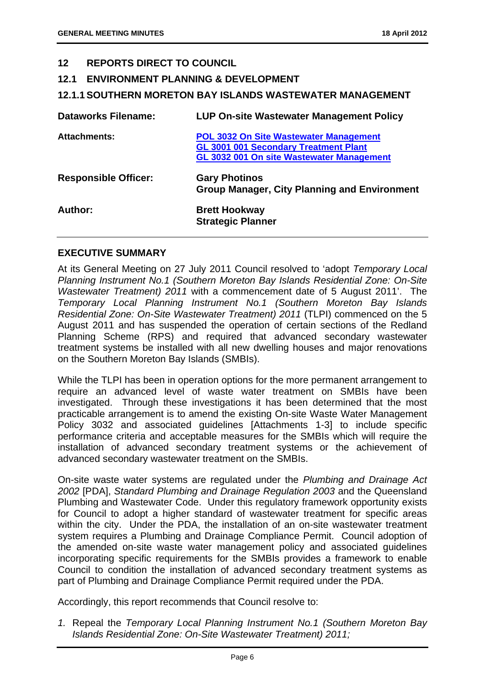#### **12 REPORTS DIRECT TO COUNCIL**

- **12.1 ENVIRONMENT PLANNING & DEVELOPMENT**
- **12.1.1 SOUTHERN MORETON BAY ISLANDS WASTEWATER MANAGEMENT**

| <b>Dataworks Filename:</b>  | <b>LUP On-site Wastewater Management Policy</b>                                                                                            |
|-----------------------------|--------------------------------------------------------------------------------------------------------------------------------------------|
| <b>Attachments:</b>         | <b>POL 3032 On Site Wastewater Management</b><br><b>GL 3001 001 Secondary Treatment Plant</b><br>GL 3032 001 On site Wastewater Management |
| <b>Responsible Officer:</b> | <b>Gary Photinos</b><br><b>Group Manager, City Planning and Environment</b>                                                                |
| Author:                     | <b>Brett Hookway</b><br><b>Strategic Planner</b>                                                                                           |

#### **EXECUTIVE SUMMARY**

At its General Meeting on 27 July 2011 Council resolved to 'adopt *Temporary Local Planning Instrument No.1 (Southern Moreton Bay Islands Residential Zone: On-Site Wastewater Treatment) 2011* with a commencement date of 5 August 2011'. The *Temporary Local Planning Instrument No.1 (Southern Moreton Bay Islands Residential Zone: On-Site Wastewater Treatment) 2011* (TLPI) commenced on the 5 August 2011 and has suspended the operation of certain sections of the Redland Planning Scheme (RPS) and required that advanced secondary wastewater treatment systems be installed with all new dwelling houses and major renovations on the Southern Moreton Bay Islands (SMBIs).

While the TLPI has been in operation options for the more permanent arrangement to require an advanced level of waste water treatment on SMBIs have been investigated. Through these investigations it has been determined that the most practicable arrangement is to amend the existing On-site Waste Water Management Policy 3032 and associated guidelines [Attachments 1-3] to include specific performance criteria and acceptable measures for the SMBIs which will require the installation of advanced secondary treatment systems or the achievement of advanced secondary wastewater treatment on the SMBIs.

On-site waste water systems are regulated under the *Plumbing and Drainage Act 2002* [PDA], *Standard Plumbing and Drainage Regulation 2003* and the Queensland Plumbing and Wastewater Code. Under this regulatory framework opportunity exists for Council to adopt a higher standard of wastewater treatment for specific areas within the city. Under the PDA, the installation of an on-site wastewater treatment system requires a Plumbing and Drainage Compliance Permit. Council adoption of the amended on-site waste water management policy and associated guidelines incorporating specific requirements for the SMBIs provides a framework to enable Council to condition the installation of advanced secondary treatment systems as part of Plumbing and Drainage Compliance Permit required under the PDA.

Accordingly, this report recommends that Council resolve to:

*1.* Repeal the *Temporary Local Planning Instrument No.1 (Southern Moreton Bay Islands Residential Zone: On-Site Wastewater Treatment) 2011;*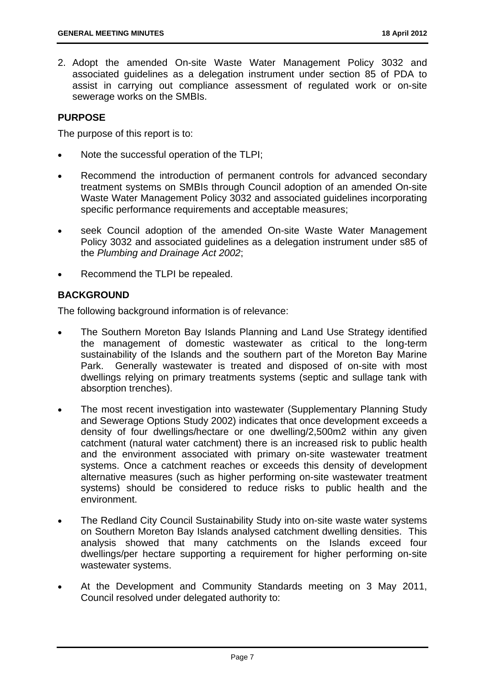2. Adopt the amended On-site Waste Water Management Policy 3032 and associated guidelines as a delegation instrument under section 85 of PDA to assist in carrying out compliance assessment of regulated work or on-site sewerage works on the SMBIs.

#### **PURPOSE**

The purpose of this report is to:

- Note the successful operation of the TLPI;
- Recommend the introduction of permanent controls for advanced secondary treatment systems on SMBIs through Council adoption of an amended On-site Waste Water Management Policy 3032 and associated guidelines incorporating specific performance requirements and acceptable measures;
- seek Council adoption of the amended On-site Waste Water Management Policy 3032 and associated guidelines as a delegation instrument under s85 of the *Plumbing and Drainage Act 2002*;
- Recommend the TLPI be repealed.

#### **BACKGROUND**

The following background information is of relevance:

- The Southern Moreton Bay Islands Planning and Land Use Strategy identified the management of domestic wastewater as critical to the long-term sustainability of the Islands and the southern part of the Moreton Bay Marine Park. Generally wastewater is treated and disposed of on-site with most dwellings relying on primary treatments systems (septic and sullage tank with absorption trenches).
- The most recent investigation into wastewater (Supplementary Planning Study and Sewerage Options Study 2002) indicates that once development exceeds a density of four dwellings/hectare or one dwelling/2,500m2 within any given catchment (natural water catchment) there is an increased risk to public health and the environment associated with primary on-site wastewater treatment systems. Once a catchment reaches or exceeds this density of development alternative measures (such as higher performing on-site wastewater treatment systems) should be considered to reduce risks to public health and the environment.
- The Redland City Council Sustainability Study into on-site waste water systems on Southern Moreton Bay Islands analysed catchment dwelling densities. This analysis showed that many catchments on the Islands exceed four dwellings/per hectare supporting a requirement for higher performing on-site wastewater systems.
- At the Development and Community Standards meeting on 3 May 2011, Council resolved under delegated authority to: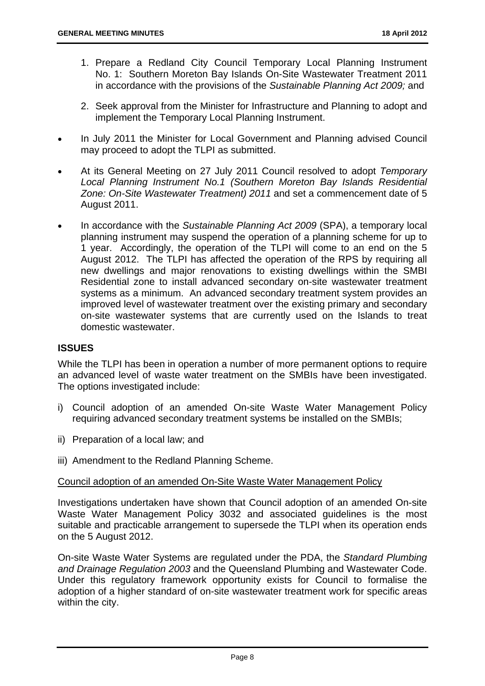- 1. Prepare a Redland City Council Temporary Local Planning Instrument No. 1: Southern Moreton Bay Islands On-Site Wastewater Treatment 2011 in accordance with the provisions of the *Sustainable Planning Act 2009;* and
- 2. Seek approval from the Minister for Infrastructure and Planning to adopt and implement the Temporary Local Planning Instrument.
- In July 2011 the Minister for Local Government and Planning advised Council may proceed to adopt the TLPI as submitted.
- At its General Meeting on 27 July 2011 Council resolved to adopt *Temporary Local Planning Instrument No.1 (Southern Moreton Bay Islands Residential Zone: On-Site Wastewater Treatment) 2011* and set a commencement date of 5 August 2011.
- In accordance with the *Sustainable Planning Act 2009* (SPA), a temporary local planning instrument may suspend the operation of a planning scheme for up to 1 year. Accordingly, the operation of the TLPI will come to an end on the 5 August 2012. The TLPI has affected the operation of the RPS by requiring all new dwellings and major renovations to existing dwellings within the SMBI Residential zone to install advanced secondary on-site wastewater treatment systems as a minimum. An advanced secondary treatment system provides an improved level of wastewater treatment over the existing primary and secondary on-site wastewater systems that are currently used on the Islands to treat domestic wastewater.

#### **ISSUES**

While the TLPI has been in operation a number of more permanent options to require an advanced level of waste water treatment on the SMBIs have been investigated. The options investigated include:

- i) Council adoption of an amended On-site Waste Water Management Policy requiring advanced secondary treatment systems be installed on the SMBIs;
- ii) Preparation of a local law; and
- iii) Amendment to the Redland Planning Scheme.

#### Council adoption of an amended On-Site Waste Water Management Policy

Investigations undertaken have shown that Council adoption of an amended On-site Waste Water Management Policy 3032 and associated guidelines is the most suitable and practicable arrangement to supersede the TLPI when its operation ends on the 5 August 2012.

On-site Waste Water Systems are regulated under the PDA, the *Standard Plumbing and Drainage Regulation 2003* and the Queensland Plumbing and Wastewater Code. Under this regulatory framework opportunity exists for Council to formalise the adoption of a higher standard of on-site wastewater treatment work for specific areas within the city.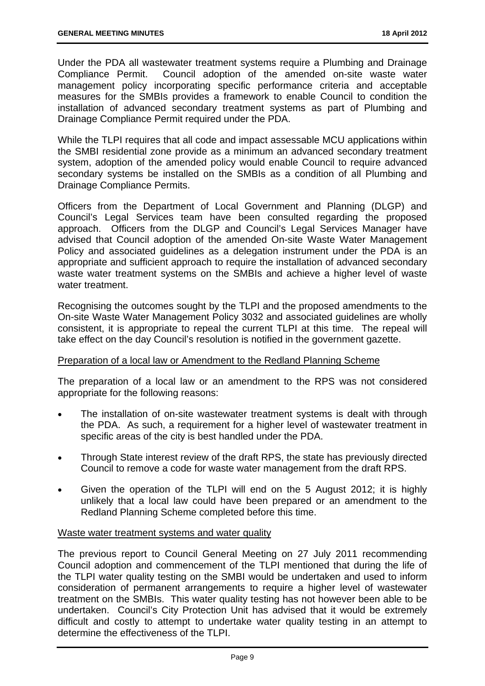Under the PDA all wastewater treatment systems require a Plumbing and Drainage Compliance Permit. Council adoption of the amended on-site waste water management policy incorporating specific performance criteria and acceptable measures for the SMBIs provides a framework to enable Council to condition the installation of advanced secondary treatment systems as part of Plumbing and Drainage Compliance Permit required under the PDA.

While the TLPI requires that all code and impact assessable MCU applications within the SMBI residential zone provide as a minimum an advanced secondary treatment system, adoption of the amended policy would enable Council to require advanced secondary systems be installed on the SMBIs as a condition of all Plumbing and Drainage Compliance Permits.

Officers from the Department of Local Government and Planning (DLGP) and Council's Legal Services team have been consulted regarding the proposed approach. Officers from the DLGP and Council's Legal Services Manager have advised that Council adoption of the amended On-site Waste Water Management Policy and associated guidelines as a delegation instrument under the PDA is an appropriate and sufficient approach to require the installation of advanced secondary waste water treatment systems on the SMBIs and achieve a higher level of waste water treatment.

Recognising the outcomes sought by the TLPI and the proposed amendments to the On-site Waste Water Management Policy 3032 and associated guidelines are wholly consistent, it is appropriate to repeal the current TLPI at this time. The repeal will take effect on the day Council's resolution is notified in the government gazette.

#### Preparation of a local law or Amendment to the Redland Planning Scheme

The preparation of a local law or an amendment to the RPS was not considered appropriate for the following reasons:

- The installation of on-site wastewater treatment systems is dealt with through the PDA. As such, a requirement for a higher level of wastewater treatment in specific areas of the city is best handled under the PDA.
- Through State interest review of the draft RPS, the state has previously directed Council to remove a code for waste water management from the draft RPS.
- Given the operation of the TLPI will end on the 5 August 2012; it is highly unlikely that a local law could have been prepared or an amendment to the Redland Planning Scheme completed before this time.

#### Waste water treatment systems and water quality

The previous report to Council General Meeting on 27 July 2011 recommending Council adoption and commencement of the TLPI mentioned that during the life of the TLPI water quality testing on the SMBI would be undertaken and used to inform consideration of permanent arrangements to require a higher level of wastewater treatment on the SMBIs. This water quality testing has not however been able to be undertaken. Council's City Protection Unit has advised that it would be extremely difficult and costly to attempt to undertake water quality testing in an attempt to determine the effectiveness of the TLPI.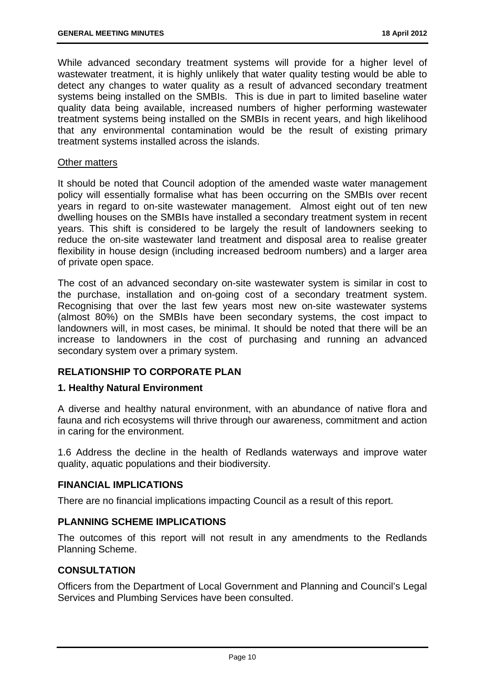While advanced secondary treatment systems will provide for a higher level of wastewater treatment, it is highly unlikely that water quality testing would be able to detect any changes to water quality as a result of advanced secondary treatment systems being installed on the SMBIs. This is due in part to limited baseline water quality data being available, increased numbers of higher performing wastewater treatment systems being installed on the SMBIs in recent years, and high likelihood that any environmental contamination would be the result of existing primary treatment systems installed across the islands.

#### Other matters

It should be noted that Council adoption of the amended waste water management policy will essentially formalise what has been occurring on the SMBIs over recent years in regard to on-site wastewater management. Almost eight out of ten new dwelling houses on the SMBIs have installed a secondary treatment system in recent years. This shift is considered to be largely the result of landowners seeking to reduce the on-site wastewater land treatment and disposal area to realise greater flexibility in house design (including increased bedroom numbers) and a larger area of private open space.

The cost of an advanced secondary on-site wastewater system is similar in cost to the purchase, installation and on-going cost of a secondary treatment system. Recognising that over the last few years most new on-site wastewater systems (almost 80%) on the SMBIs have been secondary systems, the cost impact to landowners will, in most cases, be minimal. It should be noted that there will be an increase to landowners in the cost of purchasing and running an advanced secondary system over a primary system.

#### **RELATIONSHIP TO CORPORATE PLAN**

#### **1. Healthy Natural Environment**

A diverse and healthy natural environment, with an abundance of native flora and fauna and rich ecosystems will thrive through our awareness, commitment and action in caring for the environment.

1.6 Address the decline in the health of Redlands waterways and improve water quality, aquatic populations and their biodiversity.

#### **FINANCIAL IMPLICATIONS**

There are no financial implications impacting Council as a result of this report.

#### **PLANNING SCHEME IMPLICATIONS**

The outcomes of this report will not result in any amendments to the Redlands Planning Scheme.

#### **CONSULTATION**

Officers from the Department of Local Government and Planning and Council's Legal Services and Plumbing Services have been consulted.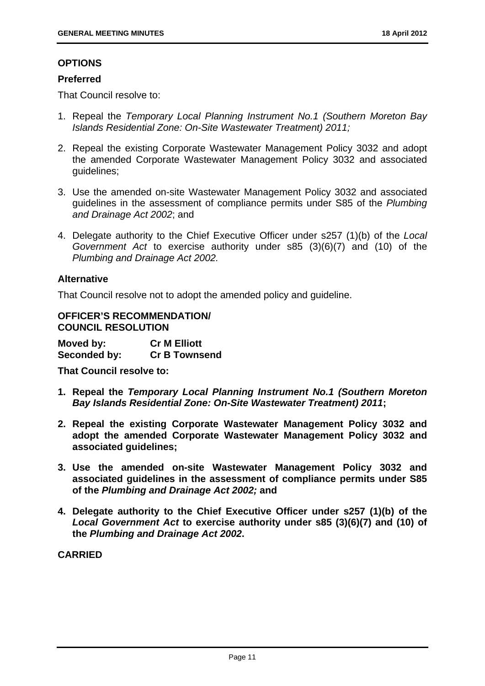#### **OPTIONS**

#### **Preferred**

That Council resolve to:

- 1. Repeal the *Temporary Local Planning Instrument No.1 (Southern Moreton Bay Islands Residential Zone: On-Site Wastewater Treatment) 2011;*
- 2. Repeal the existing Corporate Wastewater Management Policy 3032 and adopt the amended Corporate Wastewater Management Policy 3032 and associated guidelines;
- 3. Use the amended on-site Wastewater Management Policy 3032 and associated guidelines in the assessment of compliance permits under S85 of the *Plumbing and Drainage Act 2002*; and
- 4. Delegate authority to the Chief Executive Officer under s257 (1)(b) of the *Local Government Act* to exercise authority under s85 (3)(6)(7) and (10) of the *Plumbing and Drainage Act 2002.*

#### **Alternative**

That Council resolve not to adopt the amended policy and guideline.

**OFFICER'S RECOMMENDATION/ COUNCIL RESOLUTION** 

**Moved by: Cr M Elliott Seconded by: Cr B Townsend** 

**That Council resolve to:** 

- **1. Repeal the** *Temporary Local Planning Instrument No.1 (Southern Moreton Bay Islands Residential Zone: On-Site Wastewater Treatment) 2011***;**
- **2. Repeal the existing Corporate Wastewater Management Policy 3032 and adopt the amended Corporate Wastewater Management Policy 3032 and associated guidelines;**
- **3. Use the amended on-site Wastewater Management Policy 3032 and associated guidelines in the assessment of compliance permits under S85 of the** *Plumbing and Drainage Act 2002;* **and**
- **4. Delegate authority to the Chief Executive Officer under s257 (1)(b) of the**  *Local Government Act* **to exercise authority under s85 (3)(6)(7) and (10) of the** *Plumbing and Drainage Act 2002***.**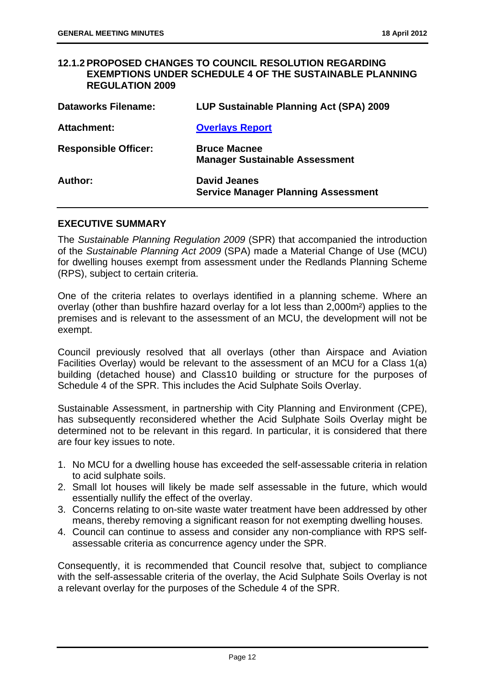#### **12.1.2 PROPOSED CHANGES TO COUNCIL RESOLUTION REGARDING EXEMPTIONS UNDER SCHEDULE 4 OF THE SUSTAINABLE PLANNING REGULATION 2009**

| <b>Dataworks Filename:</b>  | LUP Sustainable Planning Act (SPA) 2009                           |
|-----------------------------|-------------------------------------------------------------------|
| Attachment:                 | <b>Overlays Report</b>                                            |
| <b>Responsible Officer:</b> | <b>Bruce Macnee</b><br><b>Manager Sustainable Assessment</b>      |
| Author:                     | <b>David Jeanes</b><br><b>Service Manager Planning Assessment</b> |

#### **EXECUTIVE SUMMARY**

The *Sustainable Planning Regulation 2009* (SPR) that accompanied the introduction of the *Sustainable Planning Act 2009* (SPA) made a Material Change of Use (MCU) for dwelling houses exempt from assessment under the Redlands Planning Scheme (RPS), subject to certain criteria.

One of the criteria relates to overlays identified in a planning scheme. Where an overlay (other than bushfire hazard overlay for a lot less than 2,000m²) applies to the premises and is relevant to the assessment of an MCU, the development will not be exempt.

Council previously resolved that all overlays (other than Airspace and Aviation Facilities Overlay) would be relevant to the assessment of an MCU for a Class 1(a) building (detached house) and Class10 building or structure for the purposes of Schedule 4 of the SPR. This includes the Acid Sulphate Soils Overlay.

Sustainable Assessment, in partnership with City Planning and Environment (CPE), has subsequently reconsidered whether the Acid Sulphate Soils Overlay might be determined not to be relevant in this regard. In particular, it is considered that there are four key issues to note.

- 1. No MCU for a dwelling house has exceeded the self-assessable criteria in relation to acid sulphate soils.
- 2. Small lot houses will likely be made self assessable in the future, which would essentially nullify the effect of the overlay.
- 3. Concerns relating to on-site waste water treatment have been addressed by other means, thereby removing a significant reason for not exempting dwelling houses.
- 4. Council can continue to assess and consider any non-compliance with RPS selfassessable criteria as concurrence agency under the SPR.

Consequently, it is recommended that Council resolve that, subject to compliance with the self-assessable criteria of the overlay, the Acid Sulphate Soils Overlay is not a relevant overlay for the purposes of the Schedule 4 of the SPR.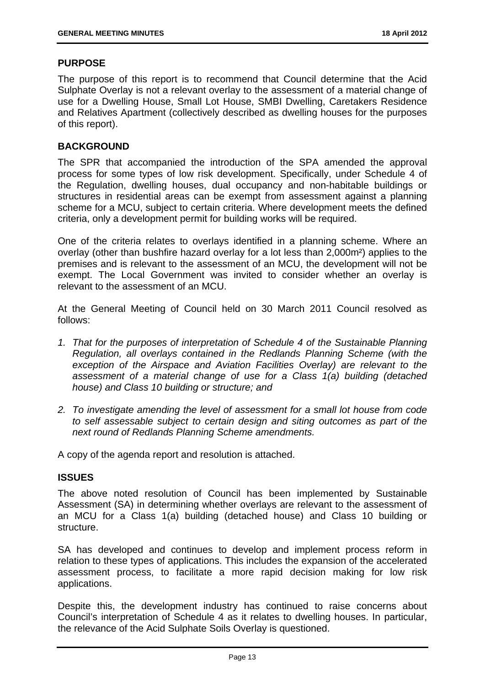#### **PURPOSE**

The purpose of this report is to recommend that Council determine that the Acid Sulphate Overlay is not a relevant overlay to the assessment of a material change of use for a Dwelling House, Small Lot House, SMBI Dwelling, Caretakers Residence and Relatives Apartment (collectively described as dwelling houses for the purposes of this report).

#### **BACKGROUND**

The SPR that accompanied the introduction of the SPA amended the approval process for some types of low risk development. Specifically, under Schedule 4 of the Regulation, dwelling houses, dual occupancy and non-habitable buildings or structures in residential areas can be exempt from assessment against a planning scheme for a MCU, subject to certain criteria. Where development meets the defined criteria, only a development permit for building works will be required.

One of the criteria relates to overlays identified in a planning scheme. Where an overlay (other than bushfire hazard overlay for a lot less than 2,000m²) applies to the premises and is relevant to the assessment of an MCU, the development will not be exempt. The Local Government was invited to consider whether an overlay is relevant to the assessment of an MCU.

At the General Meeting of Council held on 30 March 2011 Council resolved as follows:

- *1. That for the purposes of interpretation of Schedule 4 of the Sustainable Planning Regulation, all overlays contained in the Redlands Planning Scheme (with the exception of the Airspace and Aviation Facilities Overlay) are relevant to the assessment of a material change of use for a Class 1(a) building (detached house) and Class 10 building or structure; and*
- *2. To investigate amending the level of assessment for a small lot house from code to self assessable subject to certain design and siting outcomes as part of the next round of Redlands Planning Scheme amendments.*

A copy of the agenda report and resolution is attached.

#### **ISSUES**

The above noted resolution of Council has been implemented by Sustainable Assessment (SA) in determining whether overlays are relevant to the assessment of an MCU for a Class 1(a) building (detached house) and Class 10 building or structure.

SA has developed and continues to develop and implement process reform in relation to these types of applications. This includes the expansion of the accelerated assessment process, to facilitate a more rapid decision making for low risk applications.

Despite this, the development industry has continued to raise concerns about Council's interpretation of Schedule 4 as it relates to dwelling houses. In particular, the relevance of the Acid Sulphate Soils Overlay is questioned.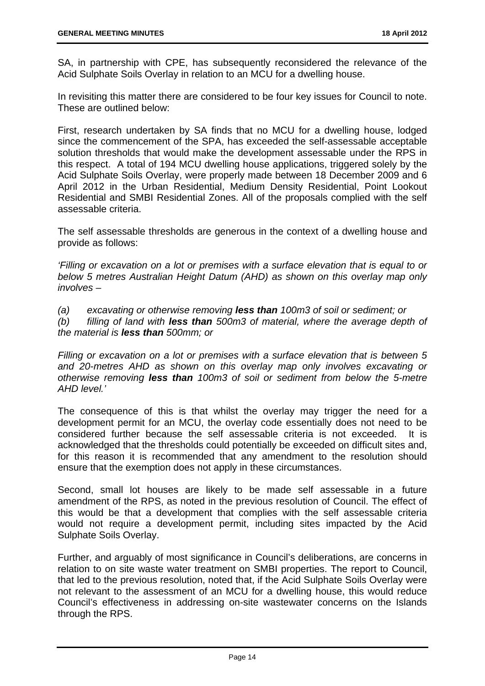SA, in partnership with CPE, has subsequently reconsidered the relevance of the Acid Sulphate Soils Overlay in relation to an MCU for a dwelling house.

In revisiting this matter there are considered to be four key issues for Council to note. These are outlined below:

First, research undertaken by SA finds that no MCU for a dwelling house, lodged since the commencement of the SPA, has exceeded the self-assessable acceptable solution thresholds that would make the development assessable under the RPS in this respect. A total of 194 MCU dwelling house applications, triggered solely by the Acid Sulphate Soils Overlay, were properly made between 18 December 2009 and 6 April 2012 in the Urban Residential, Medium Density Residential, Point Lookout Residential and SMBI Residential Zones. All of the proposals complied with the self assessable criteria.

The self assessable thresholds are generous in the context of a dwelling house and provide as follows:

*'Filling or excavation on a lot or premises with a surface elevation that is equal to or below 5 metres Australian Height Datum (AHD) as shown on this overlay map only involves –* 

*(a) excavating or otherwise removing less than 100m3 of soil or sediment; or* 

*(b) filling of land with less than 500m3 of material, where the average depth of the material is less than 500mm; or* 

*Filling or excavation on a lot or premises with a surface elevation that is between 5 and 20-metres AHD as shown on this overlay map only involves excavating or otherwise removing less than 100m3 of soil or sediment from below the 5-metre AHD level.'* 

The consequence of this is that whilst the overlay may trigger the need for a development permit for an MCU, the overlay code essentially does not need to be considered further because the self assessable criteria is not exceeded. It is acknowledged that the thresholds could potentially be exceeded on difficult sites and, for this reason it is recommended that any amendment to the resolution should ensure that the exemption does not apply in these circumstances.

Second, small lot houses are likely to be made self assessable in a future amendment of the RPS, as noted in the previous resolution of Council. The effect of this would be that a development that complies with the self assessable criteria would not require a development permit, including sites impacted by the Acid Sulphate Soils Overlay.

Further, and arguably of most significance in Council's deliberations, are concerns in relation to on site waste water treatment on SMBI properties. The report to Council, that led to the previous resolution, noted that, if the Acid Sulphate Soils Overlay were not relevant to the assessment of an MCU for a dwelling house, this would reduce Council's effectiveness in addressing on-site wastewater concerns on the Islands through the RPS.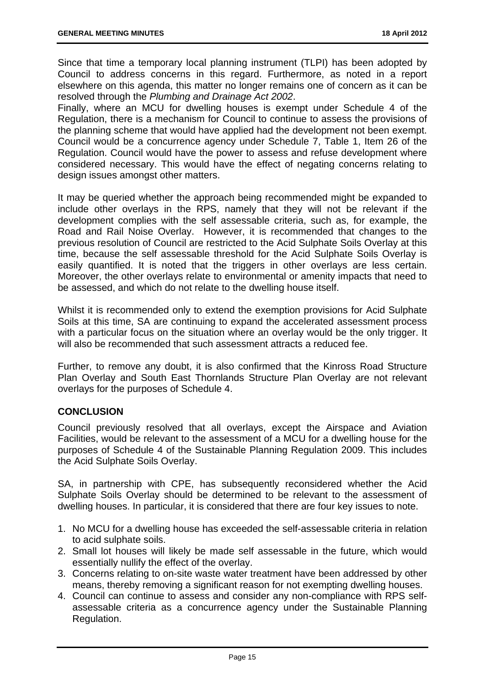Since that time a temporary local planning instrument (TLPI) has been adopted by Council to address concerns in this regard. Furthermore, as noted in a report elsewhere on this agenda, this matter no longer remains one of concern as it can be resolved through the *Plumbing and Drainage Act 2002*.

Finally, where an MCU for dwelling houses is exempt under Schedule 4 of the Regulation, there is a mechanism for Council to continue to assess the provisions of the planning scheme that would have applied had the development not been exempt. Council would be a concurrence agency under Schedule 7, Table 1, Item 26 of the Regulation. Council would have the power to assess and refuse development where considered necessary. This would have the effect of negating concerns relating to design issues amongst other matters.

It may be queried whether the approach being recommended might be expanded to include other overlays in the RPS, namely that they will not be relevant if the development complies with the self assessable criteria, such as, for example, the Road and Rail Noise Overlay. However, it is recommended that changes to the previous resolution of Council are restricted to the Acid Sulphate Soils Overlay at this time, because the self assessable threshold for the Acid Sulphate Soils Overlay is easily quantified. It is noted that the triggers in other overlays are less certain. Moreover, the other overlays relate to environmental or amenity impacts that need to be assessed, and which do not relate to the dwelling house itself.

Whilst it is recommended only to extend the exemption provisions for Acid Sulphate Soils at this time, SA are continuing to expand the accelerated assessment process with a particular focus on the situation where an overlay would be the only trigger. It will also be recommended that such assessment attracts a reduced fee.

Further, to remove any doubt, it is also confirmed that the Kinross Road Structure Plan Overlay and South East Thornlands Structure Plan Overlay are not relevant overlays for the purposes of Schedule 4.

#### **CONCLUSION**

Council previously resolved that all overlays, except the Airspace and Aviation Facilities, would be relevant to the assessment of a MCU for a dwelling house for the purposes of Schedule 4 of the Sustainable Planning Regulation 2009. This includes the Acid Sulphate Soils Overlay.

SA, in partnership with CPE, has subsequently reconsidered whether the Acid Sulphate Soils Overlay should be determined to be relevant to the assessment of dwelling houses. In particular, it is considered that there are four key issues to note.

- 1. No MCU for a dwelling house has exceeded the self-assessable criteria in relation to acid sulphate soils.
- 2. Small lot houses will likely be made self assessable in the future, which would essentially nullify the effect of the overlay.
- 3. Concerns relating to on-site waste water treatment have been addressed by other means, thereby removing a significant reason for not exempting dwelling houses.
- 4. Council can continue to assess and consider any non-compliance with RPS selfassessable criteria as a concurrence agency under the Sustainable Planning Regulation.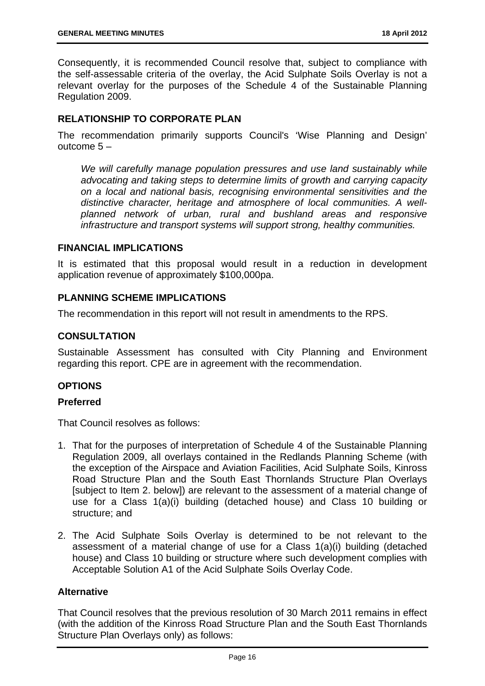Consequently, it is recommended Council resolve that, subject to compliance with the self-assessable criteria of the overlay, the Acid Sulphate Soils Overlay is not a relevant overlay for the purposes of the Schedule 4 of the Sustainable Planning Regulation 2009.

#### **RELATIONSHIP TO CORPORATE PLAN**

The recommendation primarily supports Council's 'Wise Planning and Design' outcome 5 –

*We will carefully manage population pressures and use land sustainably while advocating and taking steps to determine limits of growth and carrying capacity on a local and national basis, recognising environmental sensitivities and the distinctive character, heritage and atmosphere of local communities. A wellplanned network of urban, rural and bushland areas and responsive infrastructure and transport systems will support strong, healthy communities.* 

#### **FINANCIAL IMPLICATIONS**

It is estimated that this proposal would result in a reduction in development application revenue of approximately \$100,000pa.

#### **PLANNING SCHEME IMPLICATIONS**

The recommendation in this report will not result in amendments to the RPS.

#### **CONSULTATION**

Sustainable Assessment has consulted with City Planning and Environment regarding this report. CPE are in agreement with the recommendation.

#### **OPTIONS**

#### **Preferred**

That Council resolves as follows:

- 1. That for the purposes of interpretation of Schedule 4 of the Sustainable Planning Regulation 2009, all overlays contained in the Redlands Planning Scheme (with the exception of the Airspace and Aviation Facilities, Acid Sulphate Soils, Kinross Road Structure Plan and the South East Thornlands Structure Plan Overlays [subject to Item 2. below]) are relevant to the assessment of a material change of use for a Class 1(a)(i) building (detached house) and Class 10 building or structure; and
- 2. The Acid Sulphate Soils Overlay is determined to be not relevant to the assessment of a material change of use for a Class 1(a)(i) building (detached house) and Class 10 building or structure where such development complies with Acceptable Solution A1 of the Acid Sulphate Soils Overlay Code.

#### **Alternative**

That Council resolves that the previous resolution of 30 March 2011 remains in effect (with the addition of the Kinross Road Structure Plan and the South East Thornlands Structure Plan Overlays only) as follows: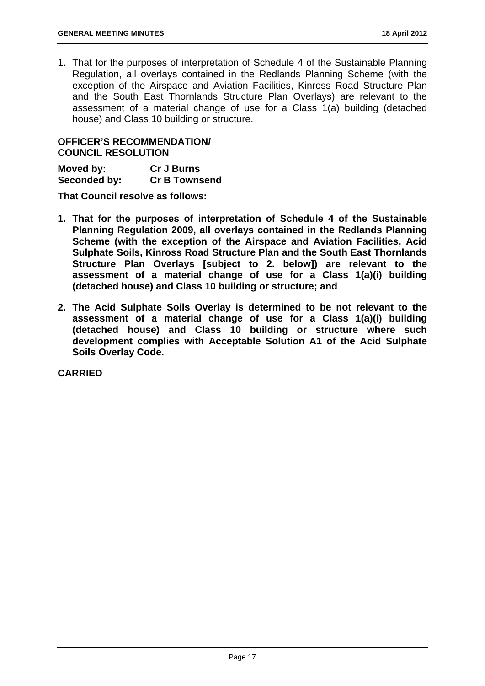1. That for the purposes of interpretation of Schedule 4 of the Sustainable Planning Regulation, all overlays contained in the Redlands Planning Scheme (with the exception of the Airspace and Aviation Facilities, Kinross Road Structure Plan and the South East Thornlands Structure Plan Overlays) are relevant to the assessment of a material change of use for a Class 1(a) building (detached house) and Class 10 building or structure.

#### **OFFICER'S RECOMMENDATION/ COUNCIL RESOLUTION**

| Moved by:    | <b>Cr J Burns</b>    |
|--------------|----------------------|
| Seconded by: | <b>Cr B Townsend</b> |

**That Council resolve as follows:** 

- **1. That for the purposes of interpretation of Schedule 4 of the Sustainable Planning Regulation 2009, all overlays contained in the Redlands Planning Scheme (with the exception of the Airspace and Aviation Facilities, Acid Sulphate Soils, Kinross Road Structure Plan and the South East Thornlands Structure Plan Overlays [subject to 2. below]) are relevant to the assessment of a material change of use for a Class 1(a)(i) building (detached house) and Class 10 building or structure; and**
- **2. The Acid Sulphate Soils Overlay is determined to be not relevant to the assessment of a material change of use for a Class 1(a)(i) building (detached house) and Class 10 building or structure where such development complies with Acceptable Solution A1 of the Acid Sulphate Soils Overlay Code.**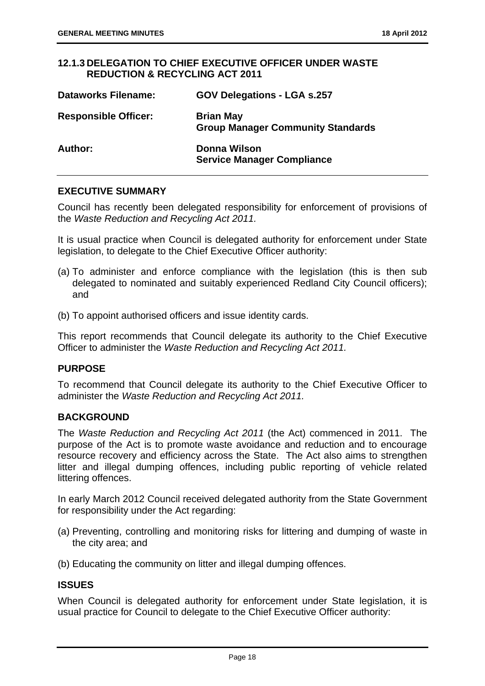#### **12.1.3 DELEGATION TO CHIEF EXECUTIVE OFFICER UNDER WASTE REDUCTION & RECYCLING ACT 2011**

| <b>Dataworks Filename:</b>  | <b>GOV Delegations - LGA s.257</b>                           |
|-----------------------------|--------------------------------------------------------------|
| <b>Responsible Officer:</b> | <b>Brian May</b><br><b>Group Manager Community Standards</b> |
| Author:                     | Donna Wilson<br><b>Service Manager Compliance</b>            |

#### **EXECUTIVE SUMMARY**

Council has recently been delegated responsibility for enforcement of provisions of the *Waste Reduction and Recycling Act 2011.* 

It is usual practice when Council is delegated authority for enforcement under State legislation, to delegate to the Chief Executive Officer authority:

- (a) To administer and enforce compliance with the legislation (this is then sub delegated to nominated and suitably experienced Redland City Council officers); and
- (b) To appoint authorised officers and issue identity cards.

This report recommends that Council delegate its authority to the Chief Executive Officer to administer the *Waste Reduction and Recycling Act 2011.*

#### **PURPOSE**

To recommend that Council delegate its authority to the Chief Executive Officer to administer the *Waste Reduction and Recycling Act 2011.* 

#### **BACKGROUND**

The *Waste Reduction and Recycling Act 2011* (the Act) commenced in 2011. The purpose of the Act is to promote waste avoidance and reduction and to encourage resource recovery and efficiency across the State. The Act also aims to strengthen litter and illegal dumping offences, including public reporting of vehicle related littering offences.

In early March 2012 Council received delegated authority from the State Government for responsibility under the Act regarding:

- (a) Preventing, controlling and monitoring risks for littering and dumping of waste in the city area; and
- (b) Educating the community on litter and illegal dumping offences.

#### **ISSUES**

When Council is delegated authority for enforcement under State legislation, it is usual practice for Council to delegate to the Chief Executive Officer authority: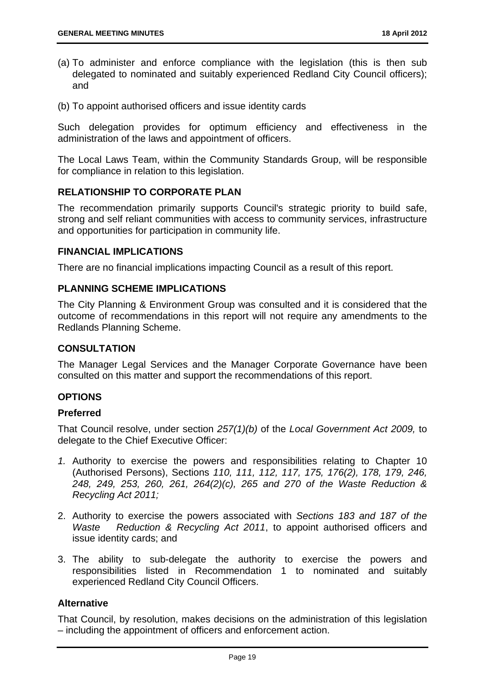- (a) To administer and enforce compliance with the legislation (this is then sub delegated to nominated and suitably experienced Redland City Council officers); and
- (b) To appoint authorised officers and issue identity cards

Such delegation provides for optimum efficiency and effectiveness in the administration of the laws and appointment of officers.

The Local Laws Team, within the Community Standards Group, will be responsible for compliance in relation to this legislation.

#### **RELATIONSHIP TO CORPORATE PLAN**

The recommendation primarily supports Council's strategic priority to build safe, strong and self reliant communities with access to community services, infrastructure and opportunities for participation in community life.

#### **FINANCIAL IMPLICATIONS**

There are no financial implications impacting Council as a result of this report.

#### **PLANNING SCHEME IMPLICATIONS**

The City Planning & Environment Group was consulted and it is considered that the outcome of recommendations in this report will not require any amendments to the Redlands Planning Scheme.

#### **CONSULTATION**

The Manager Legal Services and the Manager Corporate Governance have been consulted on this matter and support the recommendations of this report.

#### **OPTIONS**

#### **Preferred**

That Council resolve, under section *257(1)(b)* of the *Local Government Act 2009,* to delegate to the Chief Executive Officer:

- *1.* Authority to exercise the powers and responsibilities relating to Chapter 10 (Authorised Persons), Sections *110, 111, 112, 117, 175, 176(2), 178, 179, 246, 248, 249, 253, 260, 261, 264(2)(c), 265 and 270 of the Waste Reduction & Recycling Act 2011;*
- 2. Authority to exercise the powers associated with *Sections 183 and 187 of the Waste Reduction & Recycling Act 2011*, to appoint authorised officers and issue identity cards; and
- 3. The ability to sub-delegate the authority to exercise the powers and responsibilities listed in Recommendation 1 to nominated and suitably experienced Redland City Council Officers.

#### **Alternative**

That Council, by resolution, makes decisions on the administration of this legislation – including the appointment of officers and enforcement action.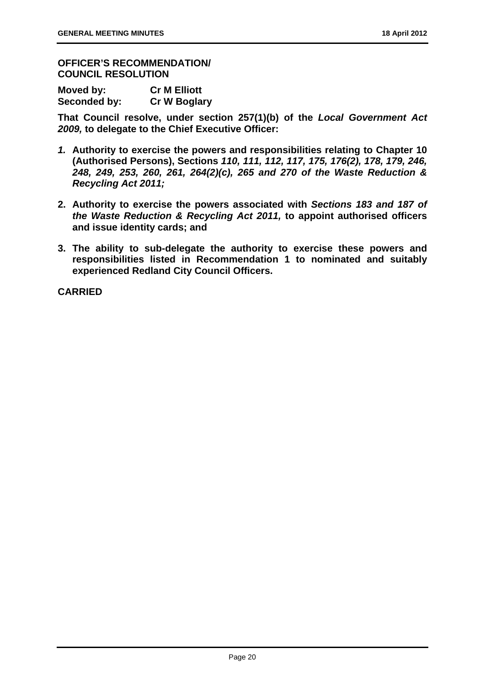**OFFICER'S RECOMMENDATION/ COUNCIL RESOLUTION** 

| Moved by:    | <b>Cr M Elliott</b> |
|--------------|---------------------|
| Seconded by: | <b>Cr W Boglary</b> |

**That Council resolve, under section 257(1)(b) of the** *Local Government Act 2009,* **to delegate to the Chief Executive Officer:** 

- *1.* **Authority to exercise the powers and responsibilities relating to Chapter 10 (Authorised Persons), Sections** *110, 111, 112, 117, 175, 176(2), 178, 179, 246, 248, 249, 253, 260, 261, 264(2)(c), 265 and 270 of the Waste Reduction & Recycling Act 2011;*
- **2. Authority to exercise the powers associated with** *Sections 183 and 187 of the Waste Reduction & Recycling Act 2011,* **to appoint authorised officers and issue identity cards; and**
- **3. The ability to sub-delegate the authority to exercise these powers and responsibilities listed in Recommendation 1 to nominated and suitably experienced Redland City Council Officers.**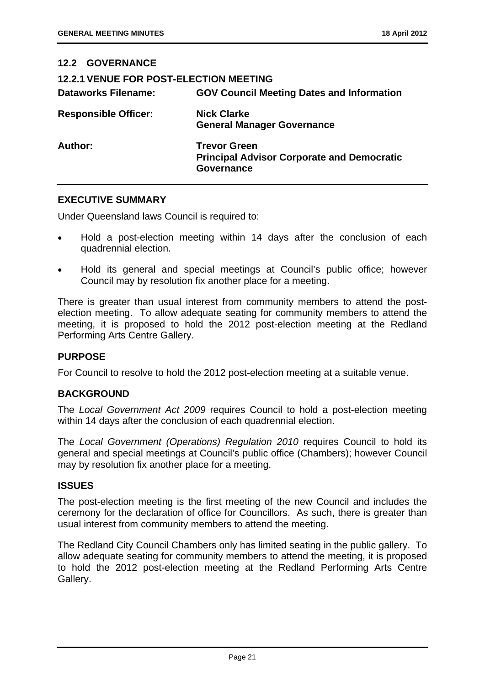#### **12.2 GOVERNANCE**

| <b>12.2.1 VENUE FOR POST-ELECTION MEETING</b><br><b>Dataworks Filename:</b> | <b>GOV Council Meeting Dates and Information</b>                                              |
|-----------------------------------------------------------------------------|-----------------------------------------------------------------------------------------------|
| <b>Responsible Officer:</b>                                                 | <b>Nick Clarke</b><br><b>General Manager Governance</b>                                       |
| Author:                                                                     | <b>Trevor Green</b><br><b>Principal Advisor Corporate and Democratic</b><br><b>Governance</b> |

#### **EXECUTIVE SUMMARY**

Under Queensland laws Council is required to:

- Hold a post-election meeting within 14 days after the conclusion of each quadrennial election.
- Hold its general and special meetings at Council's public office; however Council may by resolution fix another place for a meeting.

There is greater than usual interest from community members to attend the postelection meeting. To allow adequate seating for community members to attend the meeting, it is proposed to hold the 2012 post-election meeting at the Redland Performing Arts Centre Gallery.

#### **PURPOSE**

For Council to resolve to hold the 2012 post-election meeting at a suitable venue.

#### **BACKGROUND**

The *Local Government Act 2009* requires Council to hold a post-election meeting within 14 days after the conclusion of each quadrennial election.

The *Local Government (Operations) Regulation 2010* requires Council to hold its general and special meetings at Council's public office (Chambers); however Council may by resolution fix another place for a meeting.

#### **ISSUES**

The post-election meeting is the first meeting of the new Council and includes the ceremony for the declaration of office for Councillors. As such, there is greater than usual interest from community members to attend the meeting.

The Redland City Council Chambers only has limited seating in the public gallery. To allow adequate seating for community members to attend the meeting, it is proposed to hold the 2012 post-election meeting at the Redland Performing Arts Centre Gallery.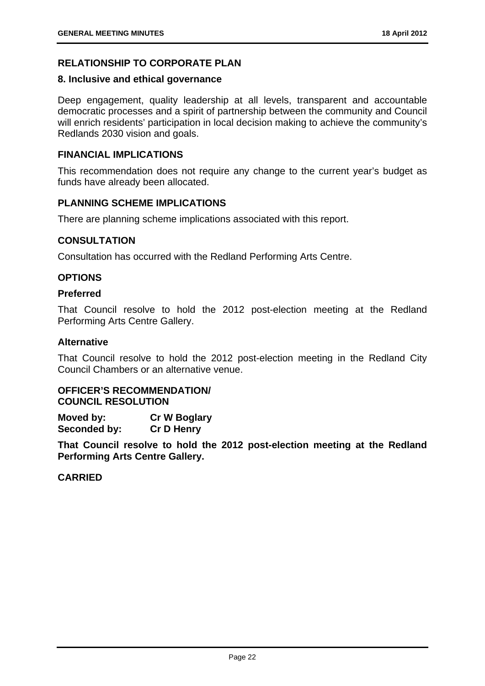#### **RELATIONSHIP TO CORPORATE PLAN**

#### **8. Inclusive and ethical governance**

Deep engagement, quality leadership at all levels, transparent and accountable democratic processes and a spirit of partnership between the community and Council will enrich residents' participation in local decision making to achieve the community's Redlands 2030 vision and goals.

#### **FINANCIAL IMPLICATIONS**

This recommendation does not require any change to the current year's budget as funds have already been allocated.

#### **PLANNING SCHEME IMPLICATIONS**

There are planning scheme implications associated with this report.

#### **CONSULTATION**

Consultation has occurred with the Redland Performing Arts Centre.

#### **OPTIONS**

#### **Preferred**

That Council resolve to hold the 2012 post-election meeting at the Redland Performing Arts Centre Gallery.

#### **Alternative**

That Council resolve to hold the 2012 post-election meeting in the Redland City Council Chambers or an alternative venue.

#### **OFFICER'S RECOMMENDATION/ COUNCIL RESOLUTION**

**Moved by: Cr W Boglary Seconded by: Cr D Henry** 

**That Council resolve to hold the 2012 post-election meeting at the Redland Performing Arts Centre Gallery.**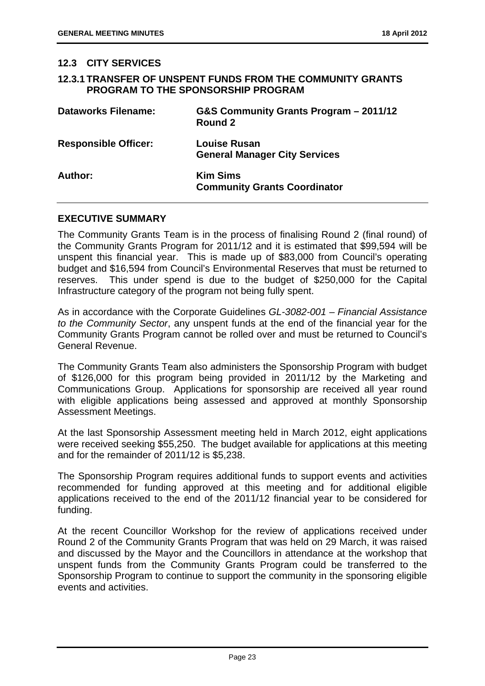#### **12.3 CITY SERVICES**

#### **12.3.1 TRANSFER OF UNSPENT FUNDS FROM THE COMMUNITY GRANTS PROGRAM TO THE SPONSORSHIP PROGRAM**

| <b>Dataworks Filename:</b>  | G&S Community Grants Program - 2011/12<br>Round 2           |
|-----------------------------|-------------------------------------------------------------|
| <b>Responsible Officer:</b> | <b>Louise Rusan</b><br><b>General Manager City Services</b> |
| Author:                     | <b>Kim Sims</b><br><b>Community Grants Coordinator</b>      |

#### **EXECUTIVE SUMMARY**

The Community Grants Team is in the process of finalising Round 2 (final round) of the Community Grants Program for 2011/12 and it is estimated that \$99,594 will be unspent this financial year. This is made up of \$83,000 from Council's operating budget and \$16,594 from Council's Environmental Reserves that must be returned to reserves. This under spend is due to the budget of \$250,000 for the Capital Infrastructure category of the program not being fully spent.

As in accordance with the Corporate Guidelines *GL-3082-001 – Financial Assistance to the Community Sector*, any unspent funds at the end of the financial year for the Community Grants Program cannot be rolled over and must be returned to Council's General Revenue.

The Community Grants Team also administers the Sponsorship Program with budget of \$126,000 for this program being provided in 2011/12 by the Marketing and Communications Group. Applications for sponsorship are received all year round with eligible applications being assessed and approved at monthly Sponsorship Assessment Meetings.

At the last Sponsorship Assessment meeting held in March 2012, eight applications were received seeking \$55,250. The budget available for applications at this meeting and for the remainder of 2011/12 is \$5,238.

The Sponsorship Program requires additional funds to support events and activities recommended for funding approved at this meeting and for additional eligible applications received to the end of the 2011/12 financial year to be considered for funding.

At the recent Councillor Workshop for the review of applications received under Round 2 of the Community Grants Program that was held on 29 March, it was raised and discussed by the Mayor and the Councillors in attendance at the workshop that unspent funds from the Community Grants Program could be transferred to the Sponsorship Program to continue to support the community in the sponsoring eligible events and activities.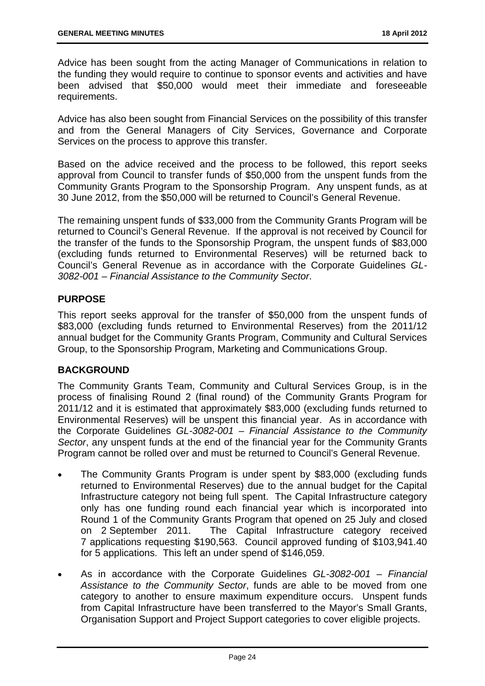Advice has been sought from the acting Manager of Communications in relation to the funding they would require to continue to sponsor events and activities and have been advised that \$50,000 would meet their immediate and foreseeable requirements.

Advice has also been sought from Financial Services on the possibility of this transfer and from the General Managers of City Services, Governance and Corporate Services on the process to approve this transfer.

Based on the advice received and the process to be followed, this report seeks approval from Council to transfer funds of \$50,000 from the unspent funds from the Community Grants Program to the Sponsorship Program. Any unspent funds, as at 30 June 2012, from the \$50,000 will be returned to Council's General Revenue.

The remaining unspent funds of \$33,000 from the Community Grants Program will be returned to Council's General Revenue. If the approval is not received by Council for the transfer of the funds to the Sponsorship Program, the unspent funds of \$83,000 (excluding funds returned to Environmental Reserves) will be returned back to Council's General Revenue as in accordance with the Corporate Guidelines *GL-3082-001 – Financial Assistance to the Community Sector*.

#### **PURPOSE**

This report seeks approval for the transfer of \$50,000 from the unspent funds of \$83,000 (excluding funds returned to Environmental Reserves) from the 2011/12 annual budget for the Community Grants Program, Community and Cultural Services Group, to the Sponsorship Program, Marketing and Communications Group.

#### **BACKGROUND**

The Community Grants Team, Community and Cultural Services Group, is in the process of finalising Round 2 (final round) of the Community Grants Program for 2011/12 and it is estimated that approximately \$83,000 (excluding funds returned to Environmental Reserves) will be unspent this financial year. As in accordance with the Corporate Guidelines *GL-3082-001 – Financial Assistance to the Community Sector*, any unspent funds at the end of the financial year for the Community Grants Program cannot be rolled over and must be returned to Council's General Revenue.

- The Community Grants Program is under spent by \$83,000 (excluding funds returned to Environmental Reserves) due to the annual budget for the Capital Infrastructure category not being full spent. The Capital Infrastructure category only has one funding round each financial year which is incorporated into Round 1 of the Community Grants Program that opened on 25 July and closed on 2 September 2011. The Capital Infrastructure category received 7 applications requesting \$190,563. Council approved funding of \$103,941.40 for 5 applications. This left an under spend of \$146,059.
- As in accordance with the Corporate Guidelines *GL-3082-001 Financial Assistance to the Community Sector*, funds are able to be moved from one category to another to ensure maximum expenditure occurs. Unspent funds from Capital Infrastructure have been transferred to the Mayor's Small Grants, Organisation Support and Project Support categories to cover eligible projects.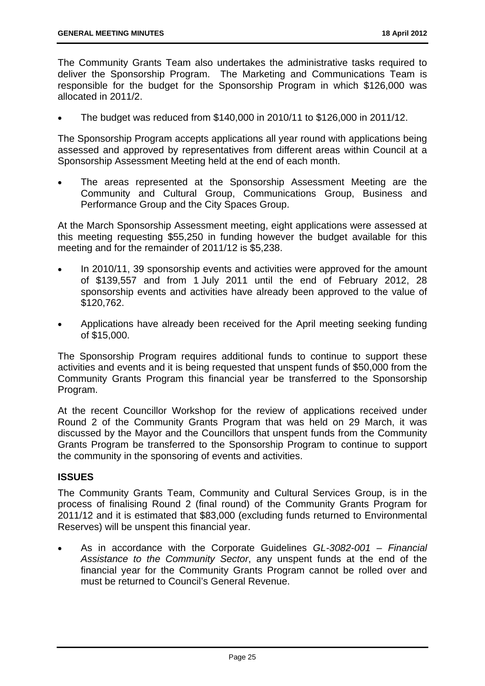The Community Grants Team also undertakes the administrative tasks required to deliver the Sponsorship Program. The Marketing and Communications Team is responsible for the budget for the Sponsorship Program in which \$126,000 was allocated in 2011/2.

The budget was reduced from \$140,000 in 2010/11 to \$126,000 in 2011/12.

The Sponsorship Program accepts applications all year round with applications being assessed and approved by representatives from different areas within Council at a Sponsorship Assessment Meeting held at the end of each month.

 The areas represented at the Sponsorship Assessment Meeting are the Community and Cultural Group, Communications Group, Business and Performance Group and the City Spaces Group.

At the March Sponsorship Assessment meeting, eight applications were assessed at this meeting requesting \$55,250 in funding however the budget available for this meeting and for the remainder of 2011/12 is \$5,238.

- In 2010/11, 39 sponsorship events and activities were approved for the amount of \$139,557 and from 1 July 2011 until the end of February 2012, 28 sponsorship events and activities have already been approved to the value of \$120,762.
- Applications have already been received for the April meeting seeking funding of \$15,000.

The Sponsorship Program requires additional funds to continue to support these activities and events and it is being requested that unspent funds of \$50,000 from the Community Grants Program this financial year be transferred to the Sponsorship Program.

At the recent Councillor Workshop for the review of applications received under Round 2 of the Community Grants Program that was held on 29 March, it was discussed by the Mayor and the Councillors that unspent funds from the Community Grants Program be transferred to the Sponsorship Program to continue to support the community in the sponsoring of events and activities.

#### **ISSUES**

The Community Grants Team, Community and Cultural Services Group, is in the process of finalising Round 2 (final round) of the Community Grants Program for 2011/12 and it is estimated that \$83,000 (excluding funds returned to Environmental Reserves) will be unspent this financial year.

 As in accordance with the Corporate Guidelines *GL-3082-001 – Financial Assistance to the Community Sector*, any unspent funds at the end of the financial year for the Community Grants Program cannot be rolled over and must be returned to Council's General Revenue.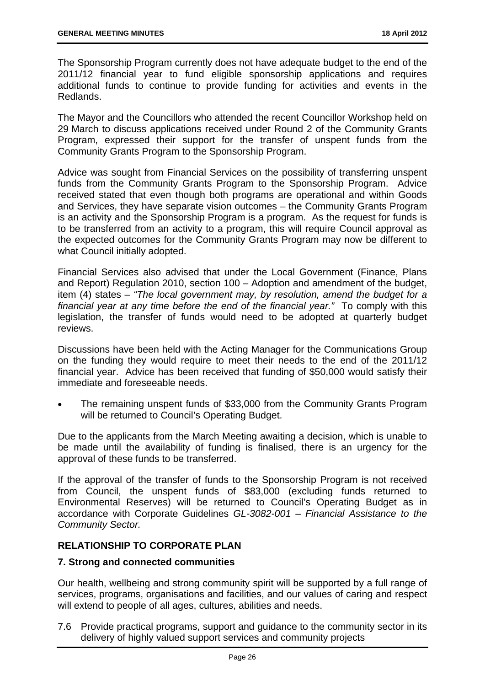The Sponsorship Program currently does not have adequate budget to the end of the 2011/12 financial year to fund eligible sponsorship applications and requires additional funds to continue to provide funding for activities and events in the Redlands.

The Mayor and the Councillors who attended the recent Councillor Workshop held on 29 March to discuss applications received under Round 2 of the Community Grants Program, expressed their support for the transfer of unspent funds from the Community Grants Program to the Sponsorship Program.

Advice was sought from Financial Services on the possibility of transferring unspent funds from the Community Grants Program to the Sponsorship Program. Advice received stated that even though both programs are operational and within Goods and Services, they have separate vision outcomes – the Community Grants Program is an activity and the Sponsorship Program is a program. As the request for funds is to be transferred from an activity to a program, this will require Council approval as the expected outcomes for the Community Grants Program may now be different to what Council initially adopted.

Financial Services also advised that under the Local Government (Finance, Plans and Report) Regulation 2010, section 100 – Adoption and amendment of the budget, item (4) states – *"The local government may, by resolution, amend the budget for a financial year at any time before the end of the financial year."* To comply with this legislation, the transfer of funds would need to be adopted at quarterly budget reviews.

Discussions have been held with the Acting Manager for the Communications Group on the funding they would require to meet their needs to the end of the 2011/12 financial year. Advice has been received that funding of \$50,000 would satisfy their immediate and foreseeable needs.

 The remaining unspent funds of \$33,000 from the Community Grants Program will be returned to Council's Operating Budget.

Due to the applicants from the March Meeting awaiting a decision, which is unable to be made until the availability of funding is finalised, there is an urgency for the approval of these funds to be transferred.

If the approval of the transfer of funds to the Sponsorship Program is not received from Council, the unspent funds of \$83,000 (excluding funds returned to Environmental Reserves) will be returned to Council's Operating Budget as in accordance with Corporate Guidelines *GL-3082-001 – Financial Assistance to the Community Sector.* 

#### **RELATIONSHIP TO CORPORATE PLAN**

#### **7. Strong and connected communities**

Our health, wellbeing and strong community spirit will be supported by a full range of services, programs, organisations and facilities, and our values of caring and respect will extend to people of all ages, cultures, abilities and needs.

7.6 Provide practical programs, support and guidance to the community sector in its delivery of highly valued support services and community projects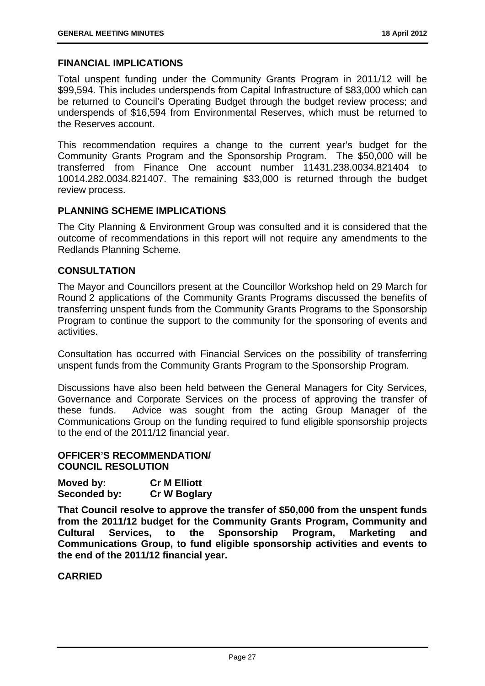#### **FINANCIAL IMPLICATIONS**

Total unspent funding under the Community Grants Program in 2011/12 will be \$99,594. This includes underspends from Capital Infrastructure of \$83,000 which can be returned to Council's Operating Budget through the budget review process; and underspends of \$16,594 from Environmental Reserves, which must be returned to the Reserves account.

This recommendation requires a change to the current year's budget for the Community Grants Program and the Sponsorship Program. The \$50,000 will be transferred from Finance One account number 11431.238.0034.821404 to 10014.282.0034.821407. The remaining \$33,000 is returned through the budget review process.

#### **PLANNING SCHEME IMPLICATIONS**

The City Planning & Environment Group was consulted and it is considered that the outcome of recommendations in this report will not require any amendments to the Redlands Planning Scheme.

#### **CONSULTATION**

The Mayor and Councillors present at the Councillor Workshop held on 29 March for Round 2 applications of the Community Grants Programs discussed the benefits of transferring unspent funds from the Community Grants Programs to the Sponsorship Program to continue the support to the community for the sponsoring of events and activities.

Consultation has occurred with Financial Services on the possibility of transferring unspent funds from the Community Grants Program to the Sponsorship Program.

Discussions have also been held between the General Managers for City Services, Governance and Corporate Services on the process of approving the transfer of these funds. Advice was sought from the acting Group Manager of the Communications Group on the funding required to fund eligible sponsorship projects to the end of the 2011/12 financial year.

#### **OFFICER'S RECOMMENDATION/ COUNCIL RESOLUTION**

| Moved by:    | <b>Cr M Elliott</b> |
|--------------|---------------------|
| Seconded by: | <b>Cr W Boglary</b> |

**That Council resolve to approve the transfer of \$50,000 from the unspent funds from the 2011/12 budget for the Community Grants Program, Community and Cultural Services, to the Sponsorship Program, Marketing and Communications Group, to fund eligible sponsorship activities and events to the end of the 2011/12 financial year.**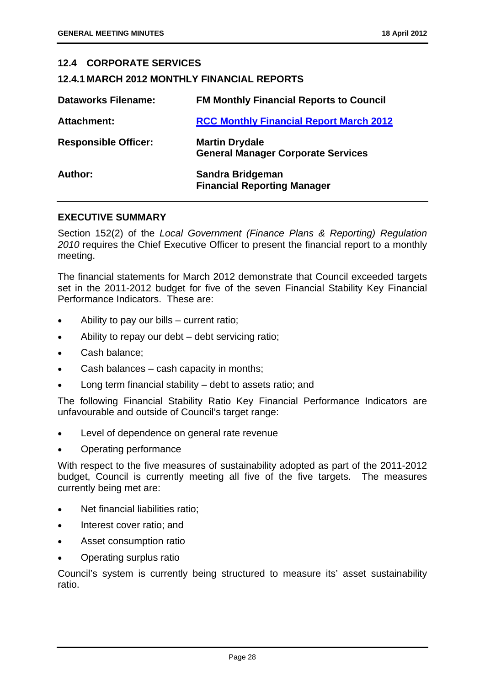#### **12.4 CORPORATE SERVICES**

#### **12.4.1 MARCH 2012 MONTHLY FINANCIAL REPORTS**

| <b>Dataworks Filename:</b>  | <b>FM Monthly Financial Reports to Council</b>                     |
|-----------------------------|--------------------------------------------------------------------|
| Attachment:                 | <b>RCC Monthly Financial Report March 2012</b>                     |
| <b>Responsible Officer:</b> | <b>Martin Drydale</b><br><b>General Manager Corporate Services</b> |
| Author:                     | Sandra Bridgeman<br><b>Financial Reporting Manager</b>             |

#### **EXECUTIVE SUMMARY**

Section 152(2) of the *Local Government (Finance Plans & Reporting) Regulation 2010* requires the Chief Executive Officer to present the financial report to a monthly meeting.

The financial statements for March 2012 demonstrate that Council exceeded targets set in the 2011-2012 budget for five of the seven Financial Stability Key Financial Performance Indicators. These are:

- Ability to pay our bills current ratio;
- Ability to repay our debt debt servicing ratio;
- Cash balance;
- Cash balances cash capacity in months;
- Long term financial stability debt to assets ratio; and

The following Financial Stability Ratio Key Financial Performance Indicators are unfavourable and outside of Council's target range:

- Level of dependence on general rate revenue
- Operating performance

With respect to the five measures of sustainability adopted as part of the 2011-2012 budget, Council is currently meeting all five of the five targets. The measures currently being met are:

- Net financial liabilities ratio;
- Interest cover ratio; and
- Asset consumption ratio
- Operating surplus ratio

Council's system is currently being structured to measure its' asset sustainability ratio.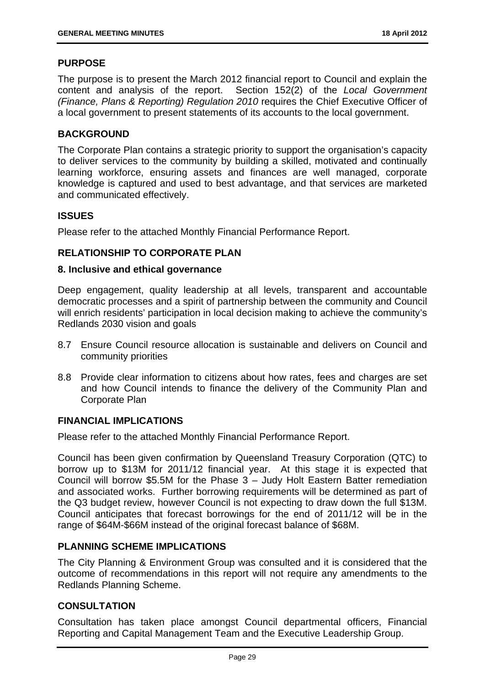#### **PURPOSE**

The purpose is to present the March 2012 financial report to Council and explain the content and analysis of the report. Section 152(2) of the *Local Government (Finance, Plans & Reporting) Regulation 2010* requires the Chief Executive Officer of a local government to present statements of its accounts to the local government.

#### **BACKGROUND**

The Corporate Plan contains a strategic priority to support the organisation's capacity to deliver services to the community by building a skilled, motivated and continually learning workforce, ensuring assets and finances are well managed, corporate knowledge is captured and used to best advantage, and that services are marketed and communicated effectively.

#### **ISSUES**

Please refer to the attached Monthly Financial Performance Report.

#### **RELATIONSHIP TO CORPORATE PLAN**

#### **8. Inclusive and ethical governance**

Deep engagement, quality leadership at all levels, transparent and accountable democratic processes and a spirit of partnership between the community and Council will enrich residents' participation in local decision making to achieve the community's Redlands 2030 vision and goals

- 8.7 Ensure Council resource allocation is sustainable and delivers on Council and community priorities
- 8.8 Provide clear information to citizens about how rates, fees and charges are set and how Council intends to finance the delivery of the Community Plan and Corporate Plan

#### **FINANCIAL IMPLICATIONS**

Please refer to the attached Monthly Financial Performance Report.

Council has been given confirmation by Queensland Treasury Corporation (QTC) to borrow up to \$13M for 2011/12 financial year. At this stage it is expected that Council will borrow \$5.5M for the Phase 3 – Judy Holt Eastern Batter remediation and associated works. Further borrowing requirements will be determined as part of the Q3 budget review, however Council is not expecting to draw down the full \$13M. Council anticipates that forecast borrowings for the end of 2011/12 will be in the range of \$64M-\$66M instead of the original forecast balance of \$68M.

#### **PLANNING SCHEME IMPLICATIONS**

The City Planning & Environment Group was consulted and it is considered that the outcome of recommendations in this report will not require any amendments to the Redlands Planning Scheme.

#### **CONSULTATION**

Consultation has taken place amongst Council departmental officers, Financial Reporting and Capital Management Team and the Executive Leadership Group.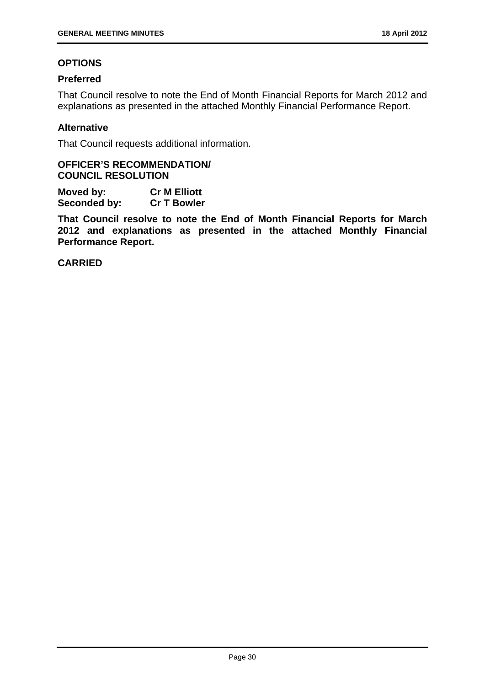#### **OPTIONS**

#### **Preferred**

That Council resolve to note the End of Month Financial Reports for March 2012 and explanations as presented in the attached Monthly Financial Performance Report.

#### **Alternative**

That Council requests additional information.

#### **OFFICER'S RECOMMENDATION/ COUNCIL RESOLUTION**

**Moved by: Cr M Elliott Seconded by: Cr T Bowler** 

**That Council resolve to note the End of Month Financial Reports for March 2012 and explanations as presented in the attached Monthly Financial Performance Report.**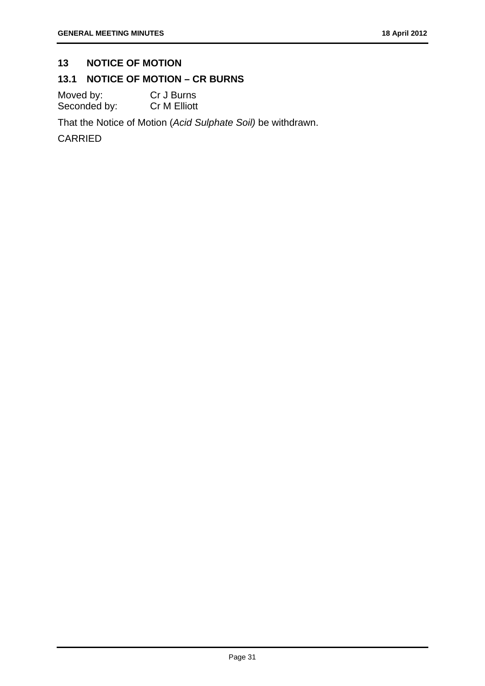#### **13 NOTICE OF MOTION**

#### **13.1 NOTICE OF MOTION – CR BURNS**

Moved by: Cr J Burns Seconded by: Cr M Elliott

That the Notice of Motion (*Acid Sulphate Soil)* be withdrawn.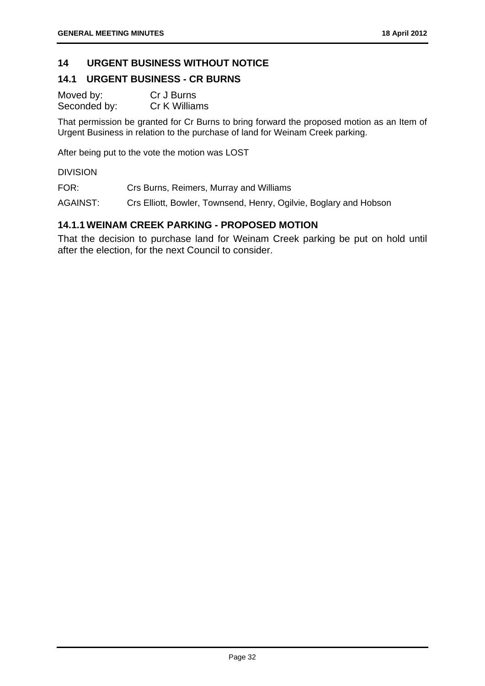#### **14 URGENT BUSINESS WITHOUT NOTICE**

#### **14.1 URGENT BUSINESS - CR BURNS**

Moved by: Cr J Burns Seconded by: Cr K Williams

That permission be granted for Cr Burns to bring forward the proposed motion as an Item of Urgent Business in relation to the purchase of land for Weinam Creek parking.

After being put to the vote the motion was LOST

DIVISION

FOR: Crs Burns, Reimers, Murray and Williams

AGAINST: Crs Elliott, Bowler, Townsend, Henry, Ogilvie, Boglary and Hobson

#### **14.1.1 WEINAM CREEK PARKING - PROPOSED MOTION**

That the decision to purchase land for Weinam Creek parking be put on hold until after the election, for the next Council to consider.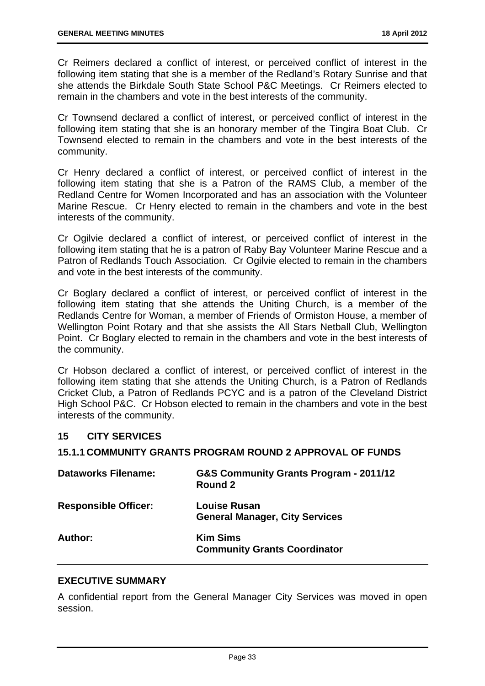Cr Reimers declared a conflict of interest, or perceived conflict of interest in the following item stating that she is a member of the Redland's Rotary Sunrise and that she attends the Birkdale South State School P&C Meetings. Cr Reimers elected to remain in the chambers and vote in the best interests of the community.

Cr Townsend declared a conflict of interest, or perceived conflict of interest in the following item stating that she is an honorary member of the Tingira Boat Club. Cr Townsend elected to remain in the chambers and vote in the best interests of the community.

Cr Henry declared a conflict of interest, or perceived conflict of interest in the following item stating that she is a Patron of the RAMS Club, a member of the Redland Centre for Women Incorporated and has an association with the Volunteer Marine Rescue. Cr Henry elected to remain in the chambers and vote in the best interests of the community.

Cr Ogilvie declared a conflict of interest, or perceived conflict of interest in the following item stating that he is a patron of Raby Bay Volunteer Marine Rescue and a Patron of Redlands Touch Association. Cr Ogilvie elected to remain in the chambers and vote in the best interests of the community.

Cr Boglary declared a conflict of interest, or perceived conflict of interest in the following item stating that she attends the Uniting Church, is a member of the Redlands Centre for Woman, a member of Friends of Ormiston House, a member of Wellington Point Rotary and that she assists the All Stars Netball Club, Wellington Point. Cr Boglary elected to remain in the chambers and vote in the best interests of the community.

Cr Hobson declared a conflict of interest, or perceived conflict of interest in the following item stating that she attends the Uniting Church, is a Patron of Redlands Cricket Club, a Patron of Redlands PCYC and is a patron of the Cleveland District High School P&C. Cr Hobson elected to remain in the chambers and vote in the best interests of the community.

#### **15 CITY SERVICES**

#### **15.1.1 COMMUNITY GRANTS PROGRAM ROUND 2 APPROVAL OF FUNDS**

| <b>Dataworks Filename:</b>  | G&S Community Grants Program - 2011/12<br>Round 2            |
|-----------------------------|--------------------------------------------------------------|
| <b>Responsible Officer:</b> | <b>Louise Rusan</b><br><b>General Manager, City Services</b> |
| Author:                     | <b>Kim Sims</b><br><b>Community Grants Coordinator</b>       |

#### **EXECUTIVE SUMMARY**

A confidential report from the General Manager City Services was moved in open session.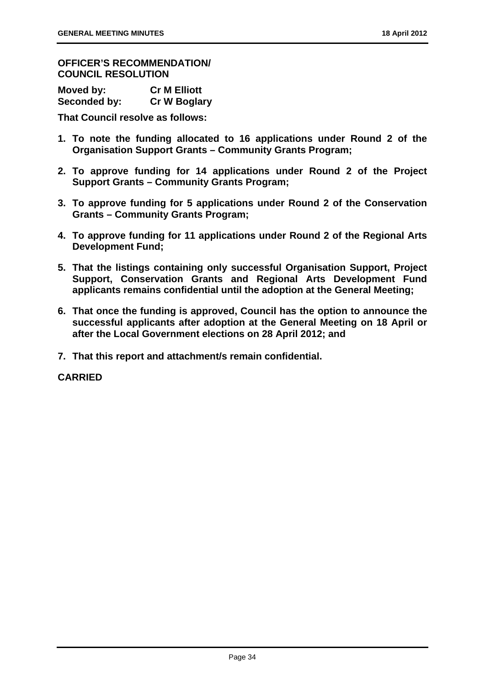**OFFICER'S RECOMMENDATION/ COUNCIL RESOLUTION** 

| Moved by:    | <b>Cr M Elliott</b> |
|--------------|---------------------|
| Seconded by: | <b>Cr W Boglary</b> |

**That Council resolve as follows:** 

- **1. To note the funding allocated to 16 applications under Round 2 of the Organisation Support Grants – Community Grants Program;**
- **2. To approve funding for 14 applications under Round 2 of the Project Support Grants – Community Grants Program;**
- **3. To approve funding for 5 applications under Round 2 of the Conservation Grants – Community Grants Program;**
- **4. To approve funding for 11 applications under Round 2 of the Regional Arts Development Fund;**
- **5. That the listings containing only successful Organisation Support, Project Support, Conservation Grants and Regional Arts Development Fund applicants remains confidential until the adoption at the General Meeting;**
- **6. That once the funding is approved, Council has the option to announce the successful applicants after adoption at the General Meeting on 18 April or after the Local Government elections on 28 April 2012; and**
- **7. That this report and attachment/s remain confidential.**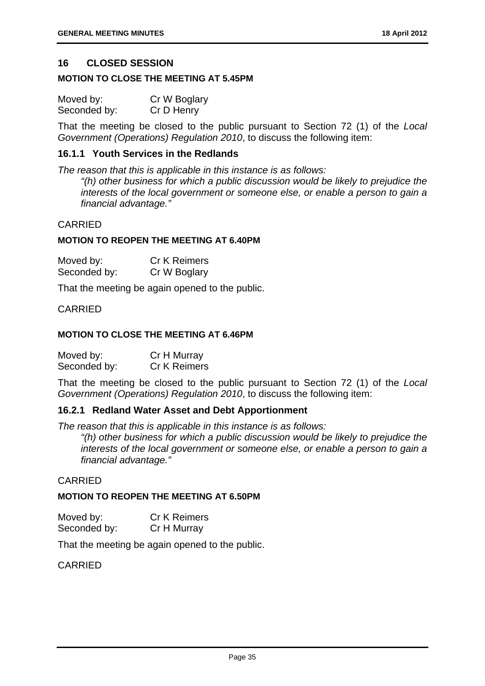#### **16 CLOSED SESSION**

#### **MOTION TO CLOSE THE MEETING AT 5.45PM**

| Moved by:    | Cr W Boglary |
|--------------|--------------|
| Seconded by: | Cr D Henry   |

That the meeting be closed to the public pursuant to Section 72 (1) of the *Local Government (Operations) Regulation 2010*, to discuss the following item:

#### **16.1.1 Youth Services in the Redlands**

*The reason that this is applicable in this instance is as follows:* 

*"(h) other business for which a public discussion would be likely to prejudice the interests of the local government or someone else, or enable a person to gain a financial advantage."* 

#### CARRIED

#### **MOTION TO REOPEN THE MEETING AT 6.40PM**

| Moved by:    | <b>Cr K Reimers</b> |
|--------------|---------------------|
| Seconded by: | Cr W Boglary        |

That the meeting be again opened to the public.

#### CARRIED

#### **MOTION TO CLOSE THE MEETING AT 6.46PM**

| Moved by:    | Cr H Murray  |
|--------------|--------------|
| Seconded by: | Cr K Reimers |

That the meeting be closed to the public pursuant to Section 72 (1) of the *Local Government (Operations) Regulation 2010*, to discuss the following item:

#### **16.2.1 Redland Water Asset and Debt Apportionment**

*The reason that this is applicable in this instance is as follows:* 

*"(h) other business for which a public discussion would be likely to prejudice the interests of the local government or someone else, or enable a person to gain a financial advantage."* 

#### CARRIED

#### **MOTION TO REOPEN THE MEETING AT 6.50PM**

| Moved by:    | <b>Cr K Reimers</b> |
|--------------|---------------------|
| Seconded by: | Cr H Murray         |

That the meeting be again opened to the public.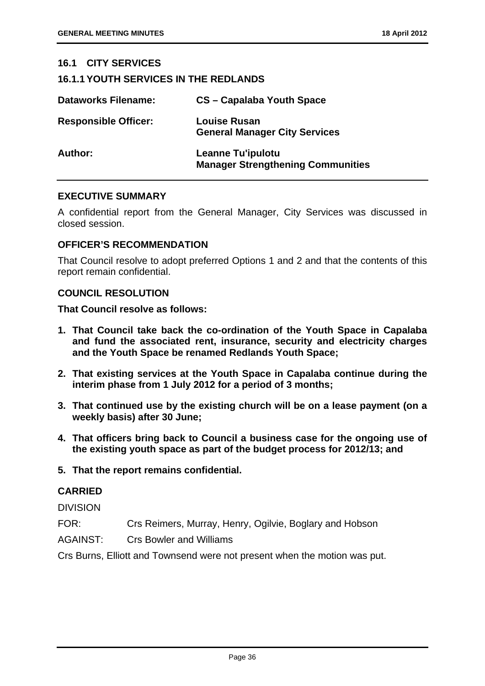#### **16.1 CITY SERVICES 16.1.1 YOUTH SERVICES IN THE REDLANDS Dataworks Filename: CS – Capalaba Youth Space Responsible Officer: Louise Rusan General Manager City Services Author: Leanne Tu'ipulotu Manager Strengthening Communities**

#### **EXECUTIVE SUMMARY**

A confidential report from the General Manager, City Services was discussed in closed session.

#### **OFFICER'S RECOMMENDATION**

That Council resolve to adopt preferred Options 1 and 2 and that the contents of this report remain confidential.

#### **COUNCIL RESOLUTION**

**That Council resolve as follows:** 

- **1. That Council take back the co-ordination of the Youth Space in Capalaba and fund the associated rent, insurance, security and electricity charges and the Youth Space be renamed Redlands Youth Space;**
- **2. That existing services at the Youth Space in Capalaba continue during the interim phase from 1 July 2012 for a period of 3 months;**
- **3. That continued use by the existing church will be on a lease payment (on a weekly basis) after 30 June;**
- **4. That officers bring back to Council a business case for the ongoing use of the existing youth space as part of the budget process for 2012/13; and**
- **5. That the report remains confidential.**

#### **CARRIED**

DIVISION

- FOR: Crs Reimers, Murray, Henry, Ogilvie, Boglary and Hobson
- AGAINST: Crs Bowler and Williams

Crs Burns, Elliott and Townsend were not present when the motion was put.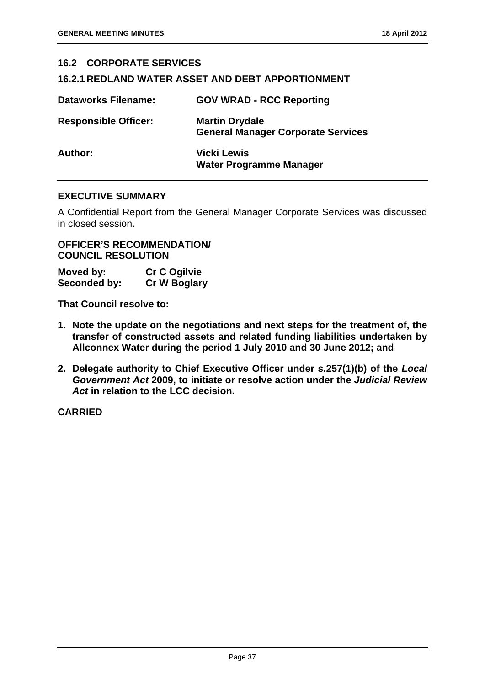| <b>16.2 CORPORATE SERVICES</b>                           |                                                                    |  |
|----------------------------------------------------------|--------------------------------------------------------------------|--|
| <b>16.2.1 REDLAND WATER ASSET AND DEBT APPORTIONMENT</b> |                                                                    |  |
| <b>Dataworks Filename:</b>                               | <b>GOV WRAD - RCC Reporting</b>                                    |  |
| <b>Responsible Officer:</b>                              | <b>Martin Drydale</b><br><b>General Manager Corporate Services</b> |  |
| Author:                                                  | <b>Vicki Lewis</b><br><b>Water Programme Manager</b>               |  |

#### **EXECUTIVE SUMMARY**

A Confidential Report from the General Manager Corporate Services was discussed in closed session.

**OFFICER'S RECOMMENDATION/ COUNCIL RESOLUTION** 

| Moved by:    | <b>Cr C Ogilvie</b> |
|--------------|---------------------|
| Seconded by: | <b>Cr W Boglary</b> |

**That Council resolve to:** 

- **1. Note the update on the negotiations and next steps for the treatment of, the transfer of constructed assets and related funding liabilities undertaken by Allconnex Water during the period 1 July 2010 and 30 June 2012; and**
- **2. Delegate authority to Chief Executive Officer under s.257(1)(b) of the** *Local Government Act* **2009, to initiate or resolve action under the** *Judicial Review Act* **in relation to the LCC decision.**